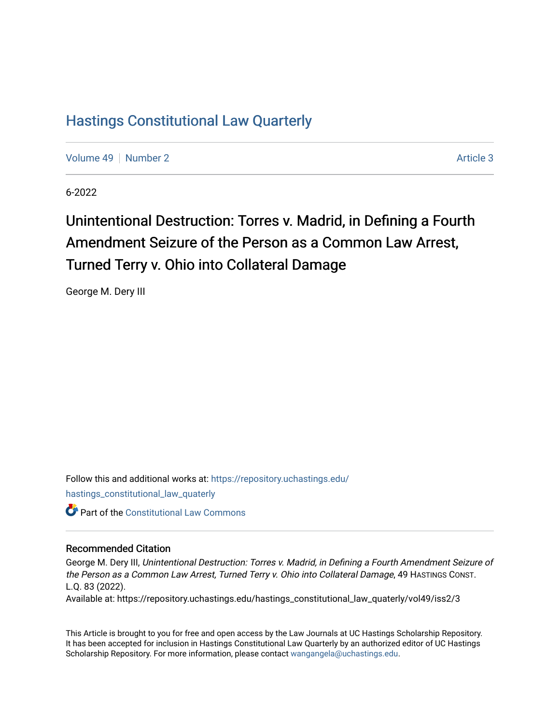## [Hastings Constitutional Law Quarterly](https://repository.uchastings.edu/hastings_constitutional_law_quaterly)

[Volume 49](https://repository.uchastings.edu/hastings_constitutional_law_quaterly/vol49) [Number 2](https://repository.uchastings.edu/hastings_constitutional_law_quaterly/vol49/iss2) Article 3

6-2022

# Unintentional Destruction: Torres v. Madrid, in Defining a Fourth Amendment Seizure of the Person as a Common Law Arrest, Turned Terry v. Ohio into Collateral Damage

George M. Dery III

Follow this and additional works at: [https://repository.uchastings.edu/](https://repository.uchastings.edu/hastings_constitutional_law_quaterly?utm_source=repository.uchastings.edu%2Fhastings_constitutional_law_quaterly%2Fvol49%2Fiss2%2F3&utm_medium=PDF&utm_campaign=PDFCoverPages) [hastings\\_constitutional\\_law\\_quaterly](https://repository.uchastings.edu/hastings_constitutional_law_quaterly?utm_source=repository.uchastings.edu%2Fhastings_constitutional_law_quaterly%2Fvol49%2Fiss2%2F3&utm_medium=PDF&utm_campaign=PDFCoverPages) 

**C** Part of the Constitutional Law Commons

## Recommended Citation

George M. Dery III, Unintentional Destruction: Torres v. Madrid, in Defining a Fourth Amendment Seizure of the Person as a Common Law Arrest, Turned Terry v. Ohio into Collateral Damage, 49 HASTINGS CONST. L.Q. 83 (2022).

Available at: https://repository.uchastings.edu/hastings\_constitutional\_law\_quaterly/vol49/iss2/3

This Article is brought to you for free and open access by the Law Journals at UC Hastings Scholarship Repository. It has been accepted for inclusion in Hastings Constitutional Law Quarterly by an authorized editor of UC Hastings Scholarship Repository. For more information, please contact [wangangela@uchastings.edu.](mailto:wangangela@uchastings.edu)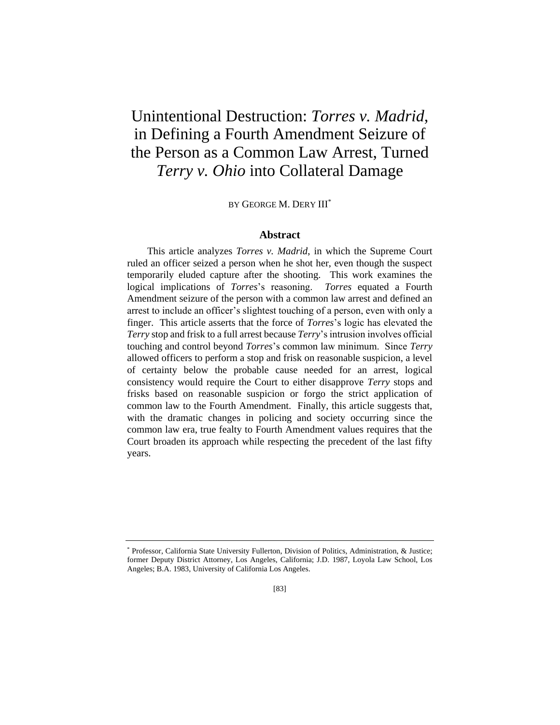## Unintentional Destruction: *Torres v. Madrid*, in Defining a Fourth Amendment Seizure of the Person as a Common Law Arrest, Turned *Terry v. Ohio* into Collateral Damage

BY GEORGE M. DERY III\*

### **Abstract**

This article analyzes *Torres v. Madrid*, in which the Supreme Court ruled an officer seized a person when he shot her, even though the suspect temporarily eluded capture after the shooting. This work examines the logical implications of *Torres*'s reasoning. *Torres* equated a Fourth Amendment seizure of the person with a common law arrest and defined an arrest to include an officer's slightest touching of a person, even with only a finger. This article asserts that the force of *Torres*'s logic has elevated the *Terry* stop and frisk to a full arrest because *Terry*'s intrusion involves official touching and control beyond *Torres*'s common law minimum. Since *Terry* allowed officers to perform a stop and frisk on reasonable suspicion, a level of certainty below the probable cause needed for an arrest, logical consistency would require the Court to either disapprove *Terry* stops and frisks based on reasonable suspicion or forgo the strict application of common law to the Fourth Amendment. Finally, this article suggests that, with the dramatic changes in policing and society occurring since the common law era, true fealty to Fourth Amendment values requires that the Court broaden its approach while respecting the precedent of the last fifty years.

<sup>\*</sup> Professor, California State University Fullerton, Division of Politics, Administration, & Justice; former Deputy District Attorney, Los Angeles, California; J.D. 1987, Loyola Law School, Los Angeles; B.A. 1983, University of California Los Angeles.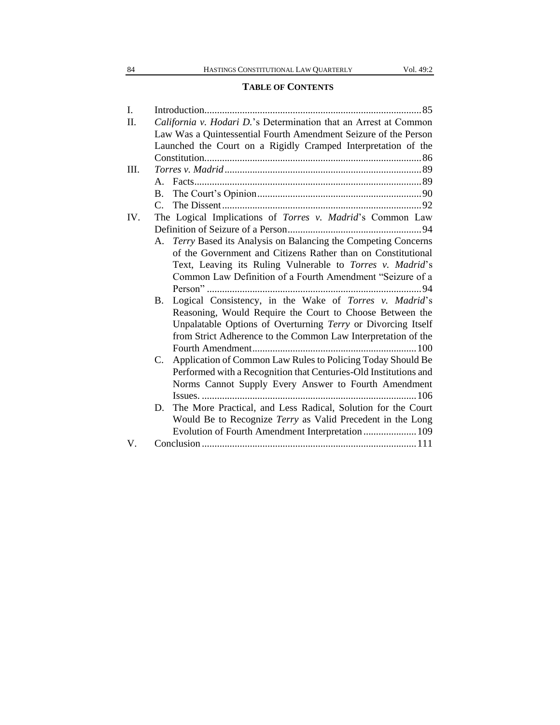## **TABLE OF CONTENTS**

| I.  |                                                                  |                                                                  |  |
|-----|------------------------------------------------------------------|------------------------------------------------------------------|--|
| П.  | California v. Hodari D.'s Determination that an Arrest at Common |                                                                  |  |
|     |                                                                  | Law Was a Quintessential Fourth Amendment Seizure of the Person  |  |
|     |                                                                  | Launched the Court on a Rigidly Cramped Interpretation of the    |  |
|     |                                                                  |                                                                  |  |
| Ш.  |                                                                  |                                                                  |  |
|     | $A_{\cdot}$                                                      |                                                                  |  |
|     | B.                                                               |                                                                  |  |
|     |                                                                  |                                                                  |  |
| IV. |                                                                  | The Logical Implications of Torres v. Madrid's Common Law        |  |
|     |                                                                  |                                                                  |  |
|     | А.                                                               | Terry Based its Analysis on Balancing the Competing Concerns     |  |
|     |                                                                  | of the Government and Citizens Rather than on Constitutional     |  |
|     |                                                                  | Text, Leaving its Ruling Vulnerable to Torres v. Madrid's        |  |
|     |                                                                  | Common Law Definition of a Fourth Amendment "Seizure of a        |  |
|     |                                                                  |                                                                  |  |
|     | <b>B.</b>                                                        | Logical Consistency, in the Wake of Torres v. Madrid's           |  |
|     |                                                                  | Reasoning, Would Require the Court to Choose Between the         |  |
|     |                                                                  | Unpalatable Options of Overturning Terry or Divorcing Itself     |  |
|     |                                                                  | from Strict Adherence to the Common Law Interpretation of the    |  |
|     |                                                                  |                                                                  |  |
|     | C.                                                               | Application of Common Law Rules to Policing Today Should Be      |  |
|     |                                                                  | Performed with a Recognition that Centuries-Old Institutions and |  |
|     |                                                                  | Norms Cannot Supply Every Answer to Fourth Amendment             |  |
|     |                                                                  |                                                                  |  |
|     |                                                                  | D. The More Practical, and Less Radical, Solution for the Court  |  |
|     |                                                                  | Would Be to Recognize Terry as Valid Precedent in the Long       |  |
|     |                                                                  | Evolution of Fourth Amendment Interpretation 109                 |  |
| V.  |                                                                  |                                                                  |  |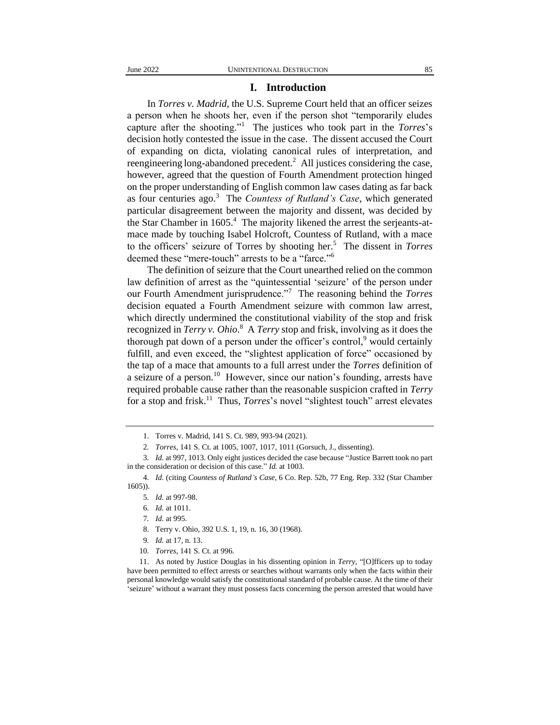### **I. Introduction**

In *Torres v. Madrid*, the U.S. Supreme Court held that an officer seizes a person when he shoots her, even if the person shot "temporarily eludes capture after the shooting."<sup>1</sup> The justices who took part in the *Torres*'s decision hotly contested the issue in the case. The dissent accused the Court of expanding on dicta, violating canonical rules of interpretation, and reengineering long-abandoned precedent.<sup>2</sup> All justices considering the case, however, agreed that the question of Fourth Amendment protection hinged on the proper understanding of English common law cases dating as far back as four centuries ago.<sup>3</sup> The *Countess of Rutland's Case*, which generated particular disagreement between the majority and dissent, was decided by the Star Chamber in  $1605<sup>4</sup>$ . The majority likened the arrest the serjeants-atmace made by touching Isabel Holcroft, Countess of Rutland, with a mace to the officers' seizure of Torres by shooting her.<sup>5</sup> The dissent in *Torres*  deemed these "mere-touch" arrests to be a "farce."<sup>6</sup>

The definition of seizure that the Court unearthed relied on the common law definition of arrest as the "quintessential 'seizure' of the person under our Fourth Amendment jurisprudence."<sup>7</sup> The reasoning behind the *Torres* decision equated a Fourth Amendment seizure with common law arrest, which directly undermined the constitutional viability of the stop and frisk recognized in *Terry v. Ohio*.<sup>8</sup> A *Terry* stop and frisk, involving as it does the thorough pat down of a person under the officer's control, would certainly fulfill, and even exceed, the "slightest application of force" occasioned by the tap of a mace that amounts to a full arrest under the *Torres* definition of a seizure of a person.<sup>10</sup> However, since our nation's founding, arrests have required probable cause rather than the reasonable suspicion crafted in *Terry*  for a stop and frisk.<sup>11</sup> Thus, *Torres*'s novel "slightest touch" arrest elevates

- 8. Terry v. Ohio*,* 392 U.S. 1, 19, n. 16, 30 (1968).
- 9*. Id.* at 17, n. 13.
- 10*. Torres*, 141 S. Ct. at 996.

<sup>1.</sup> Torres v. Madrid, 141 S. Ct. 989, 993-94 (2021).

<sup>2</sup>*. Torres*, 141 S. Ct. at 1005, 1007, 1017, 1011 (Gorsuch, J., dissenting).

<sup>3</sup>*. Id.* at 997, 1013. Only eight justices decided the case because "Justice Barrett took no part in the consideration or decision of this case." *Id.* at 1003.

<sup>4</sup>*. Id.* (citing *Countess of Rutland's Case*, 6 Co. Rep. 52b, 77 Eng. Rep. 332 (Star Chamber 1605)).

<sup>5</sup>*. Id.* at 997-98.

<sup>6</sup>*. Id.* at 1011.

<sup>7</sup>*. Id.* at 995.

<sup>11.</sup> As noted by Justice Douglas in his dissenting opinion in *Terry*, "[O]fficers up to today have been permitted to effect arrests or searches without warrants only when the facts within their personal knowledge would satisfy the constitutional standard of probable cause. At the time of their 'seizure' without a warrant they must possess facts concerning the person arrested that would have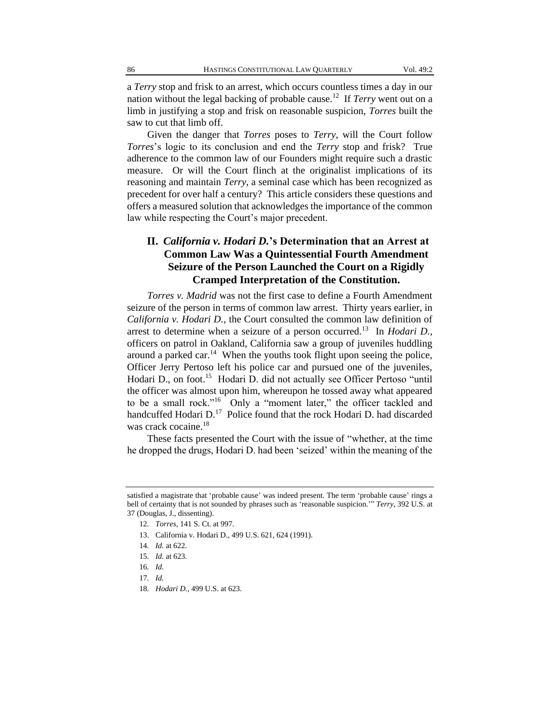a *Terry* stop and frisk to an arrest, which occurs countless times a day in our nation without the legal backing of probable cause.<sup>12</sup> If *Terry* went out on a limb in justifying a stop and frisk on reasonable suspicion, *Torres* built the saw to cut that limb off.

Given the danger that *Torres* poses to *Terry*, will the Court follow *Torres*'s logic to its conclusion and end the *Terry* stop and frisk? True adherence to the common law of our Founders might require such a drastic measure. Or will the Court flinch at the originalist implications of its reasoning and maintain *Terry*, a seminal case which has been recognized as precedent for over half a century? This article considers these questions and offers a measured solution that acknowledges the importance of the common law while respecting the Court's major precedent.

## **II.** *California v. Hodari D.***'s Determination that an Arrest at Common Law Was a Quintessential Fourth Amendment Seizure of the Person Launched the Court on a Rigidly Cramped Interpretation of the Constitution.**

*Torres v. Madrid* was not the first case to define a Fourth Amendment seizure of the person in terms of common law arrest. Thirty years earlier, in *California v. Hodari D.*, the Court consulted the common law definition of arrest to determine when a seizure of a person occurred.<sup>13</sup> In *Hodari D.*, officers on patrol in Oakland, California saw a group of juveniles huddling around a parked car.<sup>14</sup> When the youths took flight upon seeing the police, Officer Jerry Pertoso left his police car and pursued one of the juveniles, Hodari D., on foot.<sup>15</sup> Hodari D. did not actually see Officer Pertoso "until the officer was almost upon him, whereupon he tossed away what appeared to be a small rock."<sup>16</sup> Only a "moment later," the officer tackled and handcuffed Hodari D.<sup>17</sup> Police found that the rock Hodari D. had discarded was crack cocaine.<sup>18</sup>

These facts presented the Court with the issue of "whether, at the time he dropped the drugs, Hodari D. had been 'seized' within the meaning of the

13. California v. Hodari D., 499 U.S. 621, 624 (1991).

- 17*. Id.*
- 18*. Hodari D.*, 499 U.S. at 623.

satisfied a magistrate that 'probable cause' was indeed present. The term 'probable cause' rings a bell of certainty that is not sounded by phrases such as 'reasonable suspicion.'" *Terry*, 392 U.S. at 37 (Douglas, J., dissenting).

<sup>12</sup>*. Torres*, 141 S. Ct. at 997.

<sup>14</sup>*. Id.* at 622.

<sup>15</sup>*. Id.* at 623.

<sup>16</sup>*. Id.*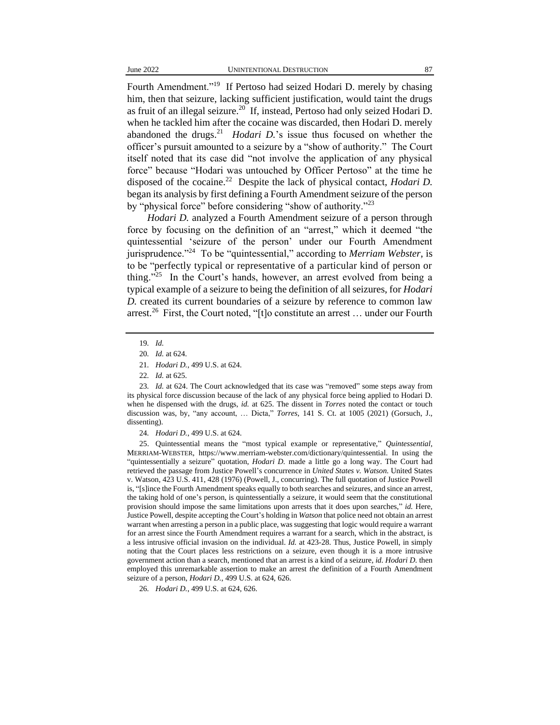Fourth Amendment."<sup>19</sup> If Pertoso had seized Hodari D. merely by chasing him, then that seizure, lacking sufficient justification, would taint the drugs as fruit of an illegal seizure. $^{20}$  If, instead, Pertoso had only seized Hodari D. when he tackled him after the cocaine was discarded, then Hodari D. merely abandoned the drugs.<sup>21</sup> *Hodari D*.'s issue thus focused on whether the officer's pursuit amounted to a seizure by a "show of authority." The Court itself noted that its case did "not involve the application of any physical force" because "Hodari was untouched by Officer Pertoso" at the time he disposed of the cocaine.<sup>22</sup> Despite the lack of physical contact, *Hodari D*. began its analysis by first defining a Fourth Amendment seizure of the person by "physical force" before considering "show of authority."<sup>23</sup>

*Hodari D.* analyzed a Fourth Amendment seizure of a person through force by focusing on the definition of an "arrest," which it deemed "the quintessential 'seizure of the person' under our Fourth Amendment jurisprudence."<sup>24</sup> To be "quintessential," according to *Merriam Webster*, is to be "perfectly typical or representative of a particular kind of person or thing."<sup>25</sup> In the Court's hands, however, an arrest evolved from being a typical example of a seizure to being the definition of all seizures, for *Hodari D.* created its current boundaries of a seizure by reference to common law arrest.<sup>26</sup> First, the Court noted, "[t]o constitute an arrest ... under our Fourth

24*. Hodari D.*, 499 U.S. at 624.

25. Quintessential means the "most typical example or representative," *Quintessential*, MERRIAM-WEBSTER, https://www.merriam-webster.com/dictionary/quintessential. In using the "quintessentially a seizure" quotation, *Hodari D.* made a little go a long way. The Court had retrieved the passage from Justice Powell's concurrence in *United States v. Watson*. United States v. Watson, 423 U.S. 411, 428 (1976) (Powell, J., concurring). The full quotation of Justice Powell is, "[s]ince the Fourth Amendment speaks equally to both searches and seizures, and since an arrest, the taking hold of one's person, is quintessentially a seizure, it would seem that the constitutional provision should impose the same limitations upon arrests that it does upon searches," *id.* Here, Justice Powell, despite accepting the Court's holding in *Watson* that police need not obtain an arrest warrant when arresting a person in a public place, was suggesting that logic would require a warrant for an arrest since the Fourth Amendment requires a warrant for a search, which in the abstract, is a less intrusive official invasion on the individual. *Id.* at 423-28. Thus, Justice Powell, in simply noting that the Court places less restrictions on a seizure, even though it is a more intrusive government action than a search, mentioned that an arrest is a kind of a seizure, *id. Hodari D.* then employed this unremarkable assertion to make an arrest *the* definition of a Fourth Amendment seizure of a person, *Hodari D.*, 499 U.S. at 624, 626.

26*. Hodari D.*, 499 U.S. at 624, 626.

<sup>19</sup>*. Id.*

<sup>20</sup>*. Id.* at 624.

<sup>21</sup>*. Hodari D.*, 499 U.S. at 624.

<sup>22</sup>*. Id.* at 625.

<sup>23</sup>*. Id.* at 624. The Court acknowledged that its case was "removed" some steps away from its physical force discussion because of the lack of any physical force being applied to Hodari D. when he dispensed with the drugs, *id.* at 625. The dissent in *Torres* noted the contact or touch discussion was, by, "any account, … Dicta," *Torres*, 141 S. Ct. at 1005 (2021) (Gorsuch, J., dissenting).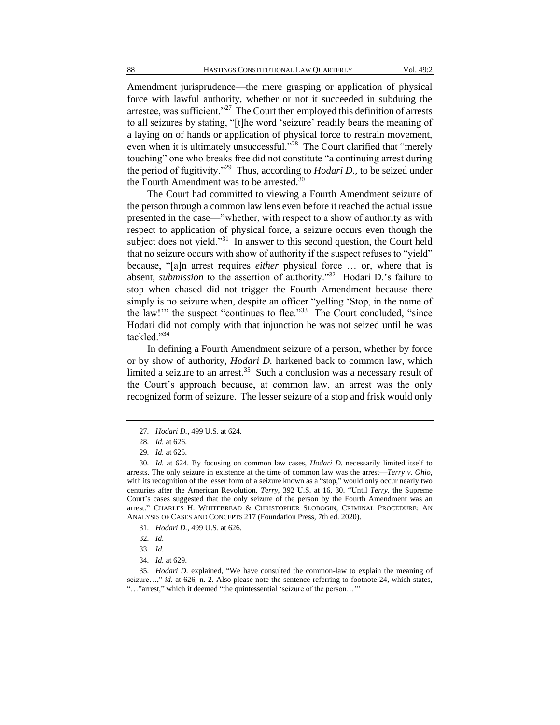Amendment jurisprudence—the mere grasping or application of physical force with lawful authority, whether or not it succeeded in subduing the arrestee, was sufficient."<sup>27</sup> The Court then employed this definition of arrests to all seizures by stating, "[t]he word 'seizure' readily bears the meaning of a laying on of hands or application of physical force to restrain movement, even when it is ultimately unsuccessful."<sup>28</sup> The Court clarified that "merely touching" one who breaks free did not constitute "a continuing arrest during the period of fugitivity."<sup>29</sup> Thus, according to *Hodari D.*, to be seized under the Fourth Amendment was to be arrested.<sup>30</sup>

The Court had committed to viewing a Fourth Amendment seizure of the person through a common law lens even before it reached the actual issue presented in the case—"whether, with respect to a show of authority as with respect to application of physical force, a seizure occurs even though the subject does not yield."<sup>31</sup> In answer to this second question, the Court held that no seizure occurs with show of authority if the suspect refuses to "yield" because, "[a]n arrest requires *either* physical force … or, where that is absent, *submission* to the assertion of authority."<sup>32</sup> Hodari D.'s failure to stop when chased did not trigger the Fourth Amendment because there simply is no seizure when, despite an officer "yelling 'Stop, in the name of the law!" the suspect "continues to flee."<sup>33</sup> The Court concluded, "since Hodari did not comply with that injunction he was not seized until he was tackled."<sup>34</sup>

In defining a Fourth Amendment seizure of a person, whether by force or by show of authority, *Hodari D.* harkened back to common law, which limited a seizure to an arrest.<sup>35</sup> Such a conclusion was a necessary result of the Court's approach because, at common law, an arrest was the only recognized form of seizure. The lesser seizure of a stop and frisk would only

<sup>27</sup>*. Hodari D.*, 499 U.S. at 624.

<sup>28</sup>*. Id.* at 626.

<sup>29</sup>*. Id.* at 625.

<sup>30</sup>*. Id.* at 624. By focusing on common law cases, *Hodari D.* necessarily limited itself to arrests. The only seizure in existence at the time of common law was the arrest—*Terry v. Ohio*, with its recognition of the lesser form of a seizure known as a "stop," would only occur nearly two centuries after the American Revolution. *Terry*, 392 U.S. at 16, 30. "Until *Terry*, the Supreme Court's cases suggested that the only seizure of the person by the Fourth Amendment was an arrest." CHARLES H. WHITEBREAD & CHRISTOPHER SLOBOGIN, CRIMINAL PROCEDURE: AN ANALYSIS OF CASES AND CONCEPTS 217 (Foundation Press, 7th ed. 2020).

<sup>31</sup>*. Hodari D.*, 499 U.S. at 626.

<sup>32</sup>*. Id.*

<sup>33</sup>*. Id.*

<sup>34</sup>*. Id.* at 629.

<sup>35</sup>*. Hodari D.* explained, "We have consulted the common-law to explain the meaning of seizure...," *id.* at 626, n. 2. Also please note the sentence referring to footnote 24, which states, "…"arrest," which it deemed "the quintessential 'seizure of the person…'"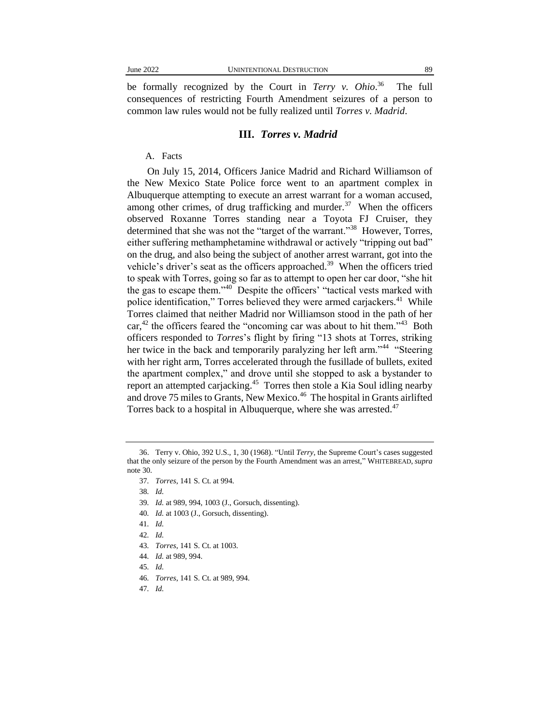be formally recognized by the Court in *Terry v. Ohio*. 36 The full consequences of restricting Fourth Amendment seizures of a person to common law rules would not be fully realized until *Torres v. Madrid*.

#### **III.** *Torres v. Madrid*

### A. Facts

On July 15, 2014, Officers Janice Madrid and Richard Williamson of the New Mexico State Police force went to an apartment complex in Albuquerque attempting to execute an arrest warrant for a woman accused, among other crimes, of drug trafficking and murder. $37$  When the officers observed Roxanne Torres standing near a Toyota FJ Cruiser, they determined that she was not the "target of the warrant."<sup>38</sup> However, Torres, either suffering methamphetamine withdrawal or actively "tripping out bad" on the drug, and also being the subject of another arrest warrant, got into the vehicle's driver's seat as the officers approached.<sup>39</sup> When the officers tried to speak with Torres, going so far as to attempt to open her car door, "she hit the gas to escape them."<sup>40</sup> Despite the officers' "tactical vests marked with police identification," Torres believed they were armed carjackers.<sup>41</sup> While Torres claimed that neither Madrid nor Williamson stood in the path of her  $car<sub>1</sub><sup>42</sup>$  the officers feared the "oncoming car was about to hit them."<sup>43</sup> Both officers responded to *Torres*'s flight by firing "13 shots at Torres, striking her twice in the back and temporarily paralyzing her left arm."<sup>44</sup> "Steering with her right arm, Torres accelerated through the fusillade of bullets, exited the apartment complex," and drove until she stopped to ask a bystander to report an attempted carjacking.<sup>45</sup> Torres then stole a Kia Soul idling nearby and drove 75 miles to Grants, New Mexico.<sup>46</sup> The hospital in Grants airlifted Torres back to a hospital in Albuquerque, where she was arrested.<sup>47</sup>

- 39*. Id.* at 989, 994, 1003 (J., Gorsuch, dissenting).
- 40*. Id.* at 1003 (J., Gorsuch, dissenting).

- 42*. Id.*
- 43*. Torres*, 141 S. Ct. at 1003.
- 44*. Id.* at 989, 994.
- 45*. Id.*
- 46*. Torres*, 141 S. Ct. at 989, 994.
- 47*. Id.*

<sup>36.</sup> Terry v. Ohio, 392 U.S., 1, 30 (1968). "Until *Terry*, the Supreme Court's cases suggested that the only seizure of the person by the Fourth Amendment was an arrest," WHITEBREAD, *supra*  note 30.

<sup>37</sup>*. Torres*, 141 S. Ct. at 994.

<sup>38</sup>*. Id.*

<sup>41</sup>*. Id.*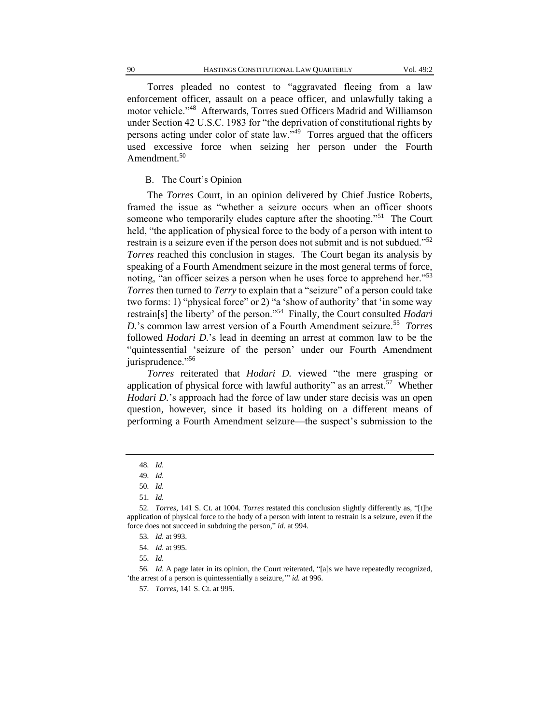Torres pleaded no contest to "aggravated fleeing from a law enforcement officer, assault on a peace officer, and unlawfully taking a motor vehicle."<sup>48</sup> Afterwards, Torres sued Officers Madrid and Williamson under Section 42 U.S.C. 1983 for "the deprivation of constitutional rights by persons acting under color of state law."<sup>49</sup> Torres argued that the officers used excessive force when seizing her person under the Fourth Amendment.<sup>50</sup>

#### B. The Court's Opinion

The *Torres* Court, in an opinion delivered by Chief Justice Roberts, framed the issue as "whether a seizure occurs when an officer shoots someone who temporarily eludes capture after the shooting."<sup>51</sup> The Court held, "the application of physical force to the body of a person with intent to restrain is a seizure even if the person does not submit and is not subdued."<sup>52</sup> *Torres* reached this conclusion in stages. The Court began its analysis by speaking of a Fourth Amendment seizure in the most general terms of force, noting, "an officer seizes a person when he uses force to apprehend her."<sup>53</sup> *Torres* then turned to *Terry* to explain that a "seizure" of a person could take two forms: 1) "physical force" or 2) "a 'show of authority' that 'in some way restrain[s] the liberty' of the person."<sup>54</sup> Finally, the Court consulted *Hodari D.*'s common law arrest version of a Fourth Amendment seizure.<sup>55</sup> *Torres* followed *Hodari D.*'s lead in deeming an arrest at common law to be the "quintessential 'seizure of the person' under our Fourth Amendment jurisprudence."<sup>56</sup>

*Torres* reiterated that *Hodari D.* viewed "the mere grasping or application of physical force with lawful authority" as an arrest.<sup>57</sup> Whether *Hodari D.*'s approach had the force of law under stare decisis was an open question, however, since it based its holding on a different means of performing a Fourth Amendment seizure—the suspect's submission to the

<sup>48</sup>*. Id.*

<sup>49</sup>*. Id.*

<sup>50</sup>*. Id.*

<sup>51</sup>*. Id.*

<sup>52</sup>*. Torres*, 141 S. Ct. at 1004. *Torres* restated this conclusion slightly differently as, "[t]he application of physical force to the body of a person with intent to restrain is a seizure, even if the force does not succeed in subduing the person," *id.* at 994.

<sup>53</sup>*. Id.* at 993.

<sup>54</sup>*. Id.* at 995.

<sup>55</sup>*. Id.*

<sup>56</sup>*. Id.* A page later in its opinion, the Court reiterated, "[a]s we have repeatedly recognized, 'the arrest of a person is quintessentially a seizure,'" *id.* at 996.

<sup>57</sup>*. Torres*, 141 S. Ct. at 995.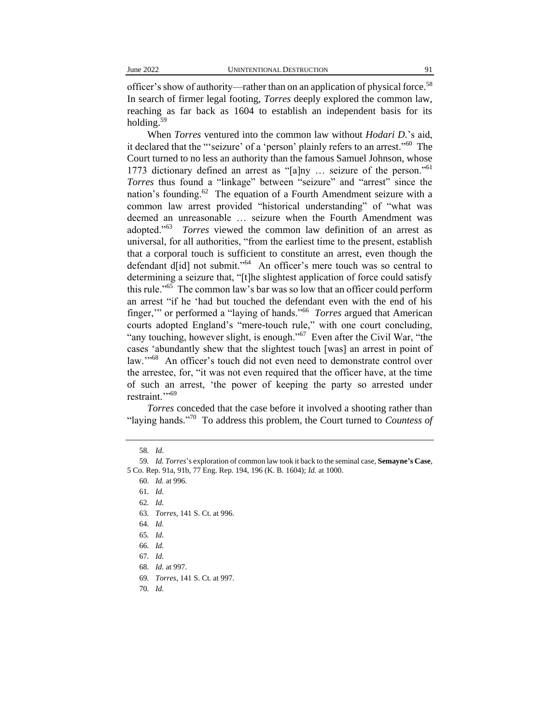officer's show of authority—rather than on an application of physical force.<sup>58</sup> In search of firmer legal footing, *Torres* deeply explored the common law, reaching as far back as 1604 to establish an independent basis for its holding.<sup>59</sup>

When *Torres* ventured into the common law without *Hodari D.*'s aid, it declared that the "'seizure' of a 'person' plainly refers to an arrest."<sup>60</sup> The Court turned to no less an authority than the famous Samuel Johnson, whose 1773 dictionary defined an arrest as "[a]ny … seizure of the person."<sup>61</sup> *Torres* thus found a "linkage" between "seizure" and "arrest" since the nation's founding.<sup>62</sup> The equation of a Fourth Amendment seizure with a common law arrest provided "historical understanding" of "what was deemed an unreasonable … seizure when the Fourth Amendment was adopted."<sup>63</sup> *Torres* viewed the common law definition of an arrest as universal, for all authorities, "from the earliest time to the present, establish that a corporal touch is sufficient to constitute an arrest, even though the defendant d[id] not submit."<sup>64</sup> An officer's mere touch was so central to determining a seizure that, "[t]he slightest application of force could satisfy this rule."<sup>65</sup> The common law's bar was so low that an officer could perform an arrest "if he 'had but touched the defendant even with the end of his finger,'" or performed a "laying of hands."<sup>66</sup> *Torres* argued that American courts adopted England's "mere-touch rule," with one court concluding, "any touching, however slight, is enough."<sup>67</sup> Even after the Civil War, "the cases 'abundantly shew that the slightest touch [was] an arrest in point of law."<sup>68</sup> An officer's touch did not even need to demonstrate control over the arrestee, for, "it was not even required that the officer have, at the time of such an arrest, 'the power of keeping the party so arrested under restraint."<sup>569</sup>

*Torres* conceded that the case before it involved a shooting rather than "laying hands."<sup>70</sup> To address this problem, the Court turned to *Countess of* 

<sup>58</sup>*. Id.*

<sup>59</sup>*. Id. Torres*'s exploration of common law took it back to the seminal case, **Semayne's Case**, 5 Co. Rep. 91a, 91b, 77 Eng. Rep. 194, 196 (K. B. 1604); *Id.* at 1000.

<sup>60</sup>*. Id.* at 996.

<sup>61</sup>*. Id.*

<sup>62</sup>*. Id.*

<sup>63</sup>*. Torres*, 141 S. Ct. at 996.

<sup>64</sup>*. Id.*

<sup>65</sup>*. Id.*

<sup>66</sup>*. Id.*

<sup>67</sup>*. Id.*

<sup>68</sup>*. Id.* at 997.

<sup>69</sup>*. Torres*, 141 S. Ct. at 997.

<sup>70</sup>*. Id.*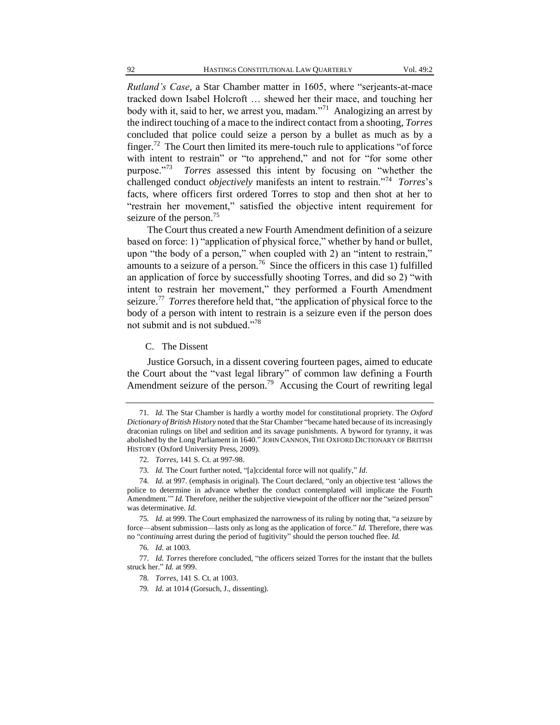*Rutland's Case*, a Star Chamber matter in 1605, where "serjeants-at-mace tracked down Isabel Holcroft … shewed her their mace, and touching her body with it, said to her, we arrest you, madam."<sup>71</sup> Analogizing an arrest by the indirect touching of a mace to the indirect contact from a shooting, *Torres* concluded that police could seize a person by a bullet as much as by a finger.<sup>72</sup> The Court then limited its mere-touch rule to applications "of force with intent to restrain" or "to apprehend," and not for "for some other purpose."<sup>73</sup> *Torres* assessed this intent by focusing on "whether the challenged conduct *objectively* manifests an intent to restrain."<sup>74</sup> *Torres*'s facts, where officers first ordered Torres to stop and then shot at her to "restrain her movement," satisfied the objective intent requirement for seizure of the person.<sup>75</sup>

The Court thus created a new Fourth Amendment definition of a seizure based on force: 1) "application of physical force," whether by hand or bullet, upon "the body of a person," when coupled with 2) an "intent to restrain," amounts to a seizure of a person.<sup>76</sup> Since the officers in this case 1) fulfilled an application of force by successfully shooting Torres, and did so 2) "with intent to restrain her movement," they performed a Fourth Amendment seizure.<sup>77</sup> *Torres* therefore held that, "the application of physical force to the body of a person with intent to restrain is a seizure even if the person does not submit and is not subdued."<sup>78</sup>

C. The Dissent

Justice Gorsuch, in a dissent covering fourteen pages, aimed to educate the Court about the "vast legal library" of common law defining a Fourth Amendment seizure of the person.<sup>79</sup> Accusing the Court of rewriting legal

<sup>71</sup>*. Id.* The Star Chamber is hardly a worthy model for constitutional propriety. The *Oxford Dictionary of British History* noted that the Star Chamber "became hated because of its increasingly draconian rulings on libel and sedition and its savage punishments. A byword for tyranny, it was abolished by the Long Parliament in 1640." JOHN CANNON, THE OXFORD DICTIONARY OF BRITISH HISTORY (Oxford University Press, 2009).

<sup>72</sup>*. Torres*, 141 S. Ct. at 997-98.

<sup>73</sup>*. Id.* The Court further noted, "[a]ccidental force will not qualify," *Id*.

<sup>74</sup>*. Id.* at 997. (emphasis in original). The Court declared, "only an objective test 'allows the police to determine in advance whether the conduct contemplated will implicate the Fourth Amendment." *Id.* Therefore, neither the subjective viewpoint of the officer nor the "seized person" was determinative. *Id.*

<sup>75</sup>*. Id.* at 999. The Court emphasized the narrowness of its ruling by noting that, "a seizure by force—absent submission—lasts only as long as the application of force." *Id.* Therefore, there was no "*continuing* arrest during the period of fugitivity" should the person touched flee. *Id.*

<sup>76</sup>*. Id.* at 1003.

<sup>77</sup>*. Id. Torres* therefore concluded, "the officers seized Torres for the instant that the bullets struck her." *Id.* at 999.

<sup>78</sup>*. Torres*, 141 S. Ct. at 1003.

<sup>79</sup>*. Id.* at 1014 (Gorsuch, J., dissenting).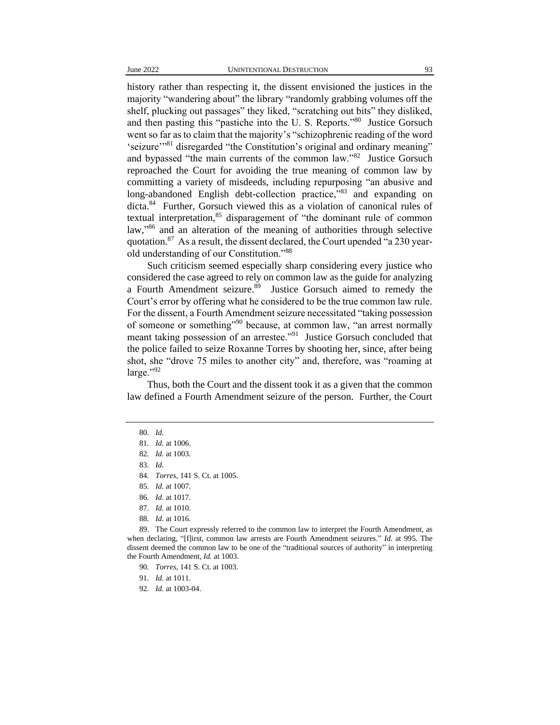history rather than respecting it, the dissent envisioned the justices in the majority "wandering about" the library "randomly grabbing volumes off the shelf, plucking out passages" they liked, "scratching out bits" they disliked, and then pasting this "pastiche into the U.S. Reports."<sup>80</sup> Justice Gorsuch went so far as to claim that the majority's "schizophrenic reading of the word 'seizure'"<sup>81</sup> disregarded "the Constitution's original and ordinary meaning" and bypassed "the main currents of the common law."<sup>82</sup> Justice Gorsuch reproached the Court for avoiding the true meaning of common law by committing a variety of misdeeds, including repurposing "an abusive and long-abandoned English debt-collection practice,"83 and expanding on dicta.<sup>84</sup> Further, Gorsuch viewed this as a violation of canonical rules of textual interpretation,<sup>85</sup> disparagement of "the dominant rule of common law," <sup>86</sup> and an alteration of the meaning of authorities through selective quotation.<sup>87</sup> As a result, the dissent declared, the Court upended "a 230 yearold understanding of our Constitution."<sup>88</sup>

Such criticism seemed especially sharp considering every justice who considered the case agreed to rely on common law as the guide for analyzing a Fourth Amendment seizure.<sup>89</sup> Justice Gorsuch aimed to remedy the Court's error by offering what he considered to be the true common law rule. For the dissent, a Fourth Amendment seizure necessitated "taking possession of someone or something"<sup>90</sup> because, at common law, "an arrest normally meant taking possession of an arrestee."<sup>91</sup> Justice Gorsuch concluded that the police failed to seize Roxanne Torres by shooting her, since, after being shot, she "drove 75 miles to another city" and, therefore, was "roaming at large."92

Thus, both the Court and the dissent took it as a given that the common law defined a Fourth Amendment seizure of the person. Further, the Court

91*. Id.* at 1011.

92*. Id.* at 1003-04.

<sup>80</sup>*. Id.*

<sup>81</sup>*. Id.* at 1006.

<sup>82</sup>*. Id.* at 1003.

<sup>83</sup>*. Id.*

<sup>84</sup>*. Torres*, 141 S. Ct. at 1005.

<sup>85</sup>*. Id.* at 1007.

<sup>86</sup>*. Id.* at 1017.

<sup>87</sup>*. Id.* at 1010.

<sup>88</sup>*. Id.* at 1016.

<sup>89.</sup> The Court expressly referred to the common law to interpret the Fourth Amendment, as when declaring, "[f]irst, common law arrests are Fourth Amendment seizures." *Id.* at 995. The dissent deemed the common law to be one of the "traditional sources of authority" in interpreting the Fourth Amendment, *Id.* at 1003.

<sup>90</sup>*. Torres*, 141 S. Ct. at 1003.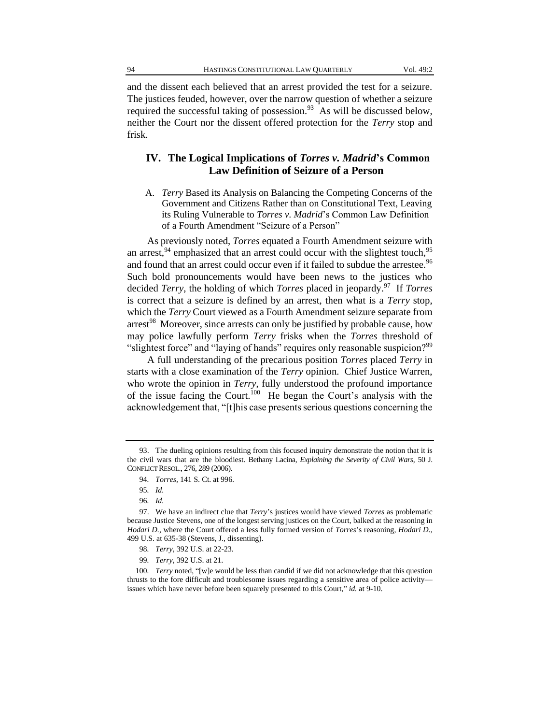and the dissent each believed that an arrest provided the test for a seizure. The justices feuded, however, over the narrow question of whether a seizure required the successful taking of possession.<sup>93</sup> As will be discussed below, neither the Court nor the dissent offered protection for the *Terry* stop and frisk.

## **IV. The Logical Implications of** *Torres v. Madrid***'s Common Law Definition of Seizure of a Person**

A. *Terry* Based its Analysis on Balancing the Competing Concerns of the Government and Citizens Rather than on Constitutional Text, Leaving its Ruling Vulnerable to *Torres v. Madrid*'s Common Law Definition of a Fourth Amendment "Seizure of a Person"

As previously noted, *Torres* equated a Fourth Amendment seizure with an arrest,  $94$  emphasized that an arrest could occur with the slightest touch,  $95$ and found that an arrest could occur even if it failed to subdue the arrestee.<sup>96</sup> Such bold pronouncements would have been news to the justices who decided *Terry*, the holding of which *Torres* placed in jeopardy.<sup>97</sup> If *Torres* is correct that a seizure is defined by an arrest, then what is a *Terry* stop, which the *Terry* Court viewed as a Fourth Amendment seizure separate from arrest<sup>98</sup> Moreover, since arrests can only be justified by probable cause, how may police lawfully perform *Terry* frisks when the *Torres* threshold of "slightest force" and "laying of hands" requires only reasonable suspicion?<sup>99</sup>

A full understanding of the precarious position *Torres* placed *Terry* in starts with a close examination of the *Terry* opinion. Chief Justice Warren, who wrote the opinion in *Terry*, fully understood the profound importance of the issue facing the Court.<sup>100</sup> He began the Court's analysis with the acknowledgement that, "[t]his case presents serious questions concerning the

<sup>93.</sup> The dueling opinions resulting from this focused inquiry demonstrate the notion that it is the civil wars that are the bloodiest. Bethany Lacina, *Explaining the Severity of Civil Wars*, 50 J. CONFLICT RESOL., 276, 289 (2006).

<sup>94</sup>*. Torres*, 141 S. Ct. at 996.

<sup>95</sup>*. Id.*

<sup>96</sup>*. Id.*

<sup>97.</sup> We have an indirect clue that *Terry*'s justices would have viewed *Torres* as problematic because Justice Stevens, one of the longest serving justices on the Court, balked at the reasoning in *Hodari D.*, where the Court offered a less fully formed version of *Torres*'s reasoning, *Hodari D.*, 499 U.S. at 635-38 (Stevens, J., dissenting).

<sup>98</sup>*. Terry*, 392 U.S. at 22-23.

<sup>99</sup>*. Terry*, 392 U.S. at 21.

<sup>100</sup>*. Terry* noted, "[w]e would be less than candid if we did not acknowledge that this question thrusts to the fore difficult and troublesome issues regarding a sensitive area of police activity issues which have never before been squarely presented to this Court," *id.* at 9-10.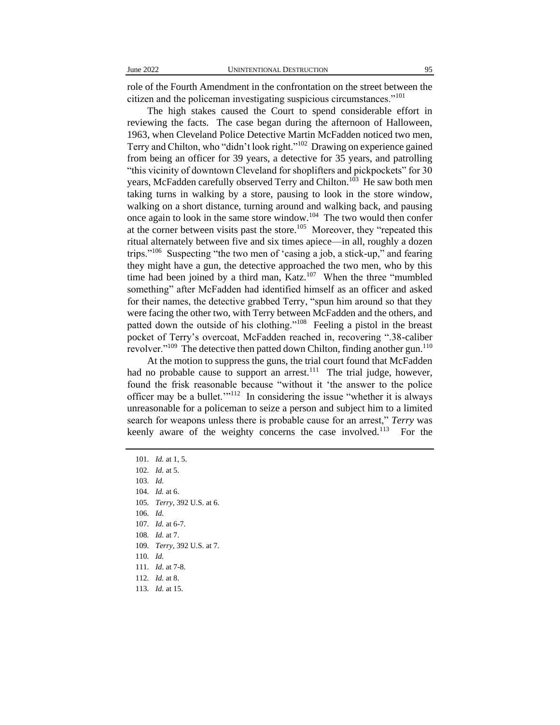role of the Fourth Amendment in the confrontation on the street between the citizen and the policeman investigating suspicious circumstances."<sup>101</sup>

The high stakes caused the Court to spend considerable effort in reviewing the facts. The case began during the afternoon of Halloween, 1963, when Cleveland Police Detective Martin McFadden noticed two men, Terry and Chilton, who "didn't look right."<sup>102</sup> Drawing on experience gained from being an officer for 39 years, a detective for 35 years, and patrolling "this vicinity of downtown Cleveland for shoplifters and pickpockets" for 30 years, McFadden carefully observed Terry and Chilton.<sup>103</sup> He saw both men taking turns in walking by a store, pausing to look in the store window, walking on a short distance, turning around and walking back, and pausing once again to look in the same store window.<sup>104</sup> The two would then confer at the corner between visits past the store.<sup>105</sup> Moreover, they "repeated this ritual alternately between five and six times apiece—in all, roughly a dozen trips."<sup>106</sup> Suspecting "the two men of 'casing a job, a stick-up," and fearing they might have a gun, the detective approached the two men, who by this time had been joined by a third man, Katz.<sup>107</sup> When the three "mumbled" something" after McFadden had identified himself as an officer and asked for their names, the detective grabbed Terry, "spun him around so that they were facing the other two, with Terry between McFadden and the others, and patted down the outside of his clothing."<sup>108</sup> Feeling a pistol in the breast pocket of Terry's overcoat, McFadden reached in, recovering ".38-caliber revolver."<sup>109</sup> The detective then patted down Chilton, finding another gun.<sup>110</sup>

At the motion to suppress the guns, the trial court found that McFadden had no probable cause to support an arrest.<sup>111</sup> The trial judge, however, found the frisk reasonable because "without it 'the answer to the police officer may be a bullet."<sup>112</sup> In considering the issue "whether it is always unreasonable for a policeman to seize a person and subject him to a limited search for weapons unless there is probable cause for an arrest," *Terry* was keenly aware of the weighty concerns the case involved.<sup>113</sup> For the

*. Id.* at 1, 5. *. Id.* at 5. 103*. Id. . Id.* at 6. *. Terry*, 392 U.S. at 6. 106*. Id. . Id.* at 6-7. *. Id.* at 7. *. Terry*, 392 U.S. at 7. 110*. Id. . Id*. at 7-8. *. Id.* at 8. *. Id.* at 15.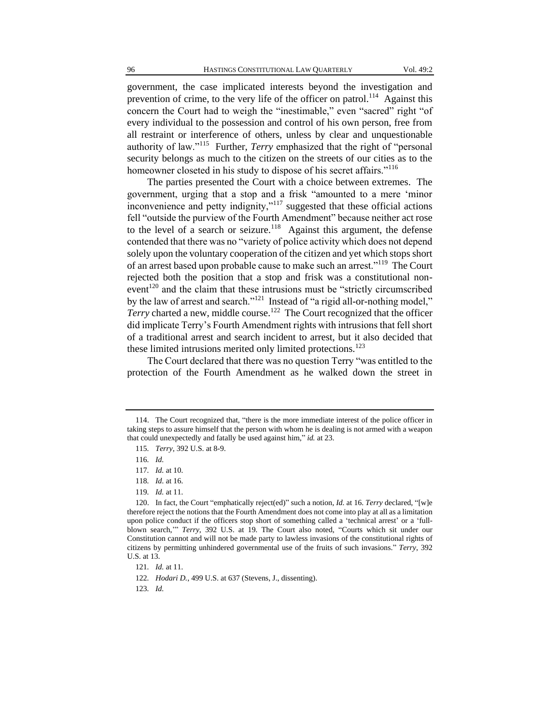government, the case implicated interests beyond the investigation and prevention of crime, to the very life of the officer on patrol.<sup>114</sup> Against this concern the Court had to weigh the "inestimable," even "sacred" right "of every individual to the possession and control of his own person, free from all restraint or interference of others, unless by clear and unquestionable authority of law."<sup>115</sup> Further, *Terry* emphasized that the right of "personal security belongs as much to the citizen on the streets of our cities as to the homeowner closeted in his study to dispose of his secret affairs."<sup>116</sup>

The parties presented the Court with a choice between extremes. The government, urging that a stop and a frisk "amounted to a mere 'minor inconvenience and petty indignity,"<sup>117</sup> suggested that these official actions fell "outside the purview of the Fourth Amendment" because neither act rose to the level of a search or seizure.<sup>118</sup> Against this argument, the defense contended that there was no "variety of police activity which does not depend solely upon the voluntary cooperation of the citizen and yet which stops short of an arrest based upon probable cause to make such an arrest."<sup>119</sup> The Court rejected both the position that a stop and frisk was a constitutional nonevent<sup>120</sup> and the claim that these intrusions must be "strictly circumscribed by the law of arrest and search."<sup>121</sup> Instead of "a rigid all-or-nothing model," Terry charted a new, middle course.<sup>122</sup> The Court recognized that the officer did implicate Terry's Fourth Amendment rights with intrusions that fell short of a traditional arrest and search incident to arrest, but it also decided that these limited intrusions merited only limited protections.<sup>123</sup>

The Court declared that there was no question Terry "was entitled to the protection of the Fourth Amendment as he walked down the street in

<sup>114.</sup> The Court recognized that, "there is the more immediate interest of the police officer in taking steps to assure himself that the person with whom he is dealing is not armed with a weapon that could unexpectedly and fatally be used against him," *id.* at 23.

<sup>115</sup>*. Terry*, 392 U.S. at 8-9.

<sup>116</sup>*. Id.*

<sup>117</sup>*. Id.* at 10.

<sup>118</sup>*. Id*. at 16.

<sup>119</sup>*. Id.* at 11.

<sup>120.</sup> In fact, the Court "emphatically reject(ed)" such a notion, *Id.* at 16. *Terry* declared, "[w]e therefore reject the notions that the Fourth Amendment does not come into play at all as a limitation upon police conduct if the officers stop short of something called a 'technical arrest' or a 'fullblown search,'" *Terry*, 392 U.S. at 19. The Court also noted, "Courts which sit under our Constitution cannot and will not be made party to lawless invasions of the constitutional rights of citizens by permitting unhindered governmental use of the fruits of such invasions." *Terry*, 392 U.S. at 13.

<sup>121</sup>*. Id.* at 11.

<sup>122</sup>*. Hodari D.*, 499 U.S. at 637 (Stevens, J., dissenting).

<sup>123</sup>*. Id.*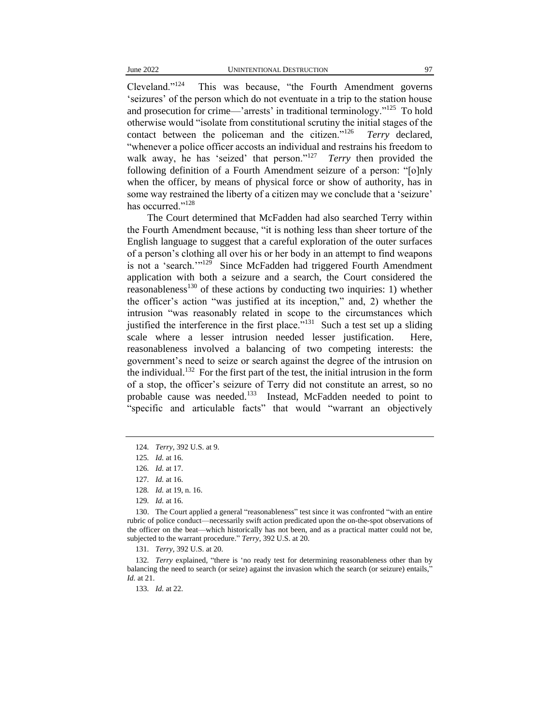Cleveland."<sup>124</sup> This was because, "the Fourth Amendment governs 'seizures' of the person which do not eventuate in a trip to the station house and prosecution for crime—'arrests' in traditional terminology."<sup>125</sup> To hold otherwise would "isolate from constitutional scrutiny the initial stages of the contact between the policeman and the citizen."<sup>126</sup> *Terry* declared, "whenever a police officer accosts an individual and restrains his freedom to walk away, he has 'seized' that person."<sup>127</sup> *Terry* then provided the following definition of a Fourth Amendment seizure of a person: "[o]nly when the officer, by means of physical force or show of authority, has in some way restrained the liberty of a citizen may we conclude that a 'seizure' has occurred."<sup>128</sup>

The Court determined that McFadden had also searched Terry within the Fourth Amendment because, "it is nothing less than sheer torture of the English language to suggest that a careful exploration of the outer surfaces of a person's clothing all over his or her body in an attempt to find weapons is not a 'search."<sup>129</sup> Since McFadden had triggered Fourth Amendment application with both a seizure and a search, the Court considered the reasonableness<sup>130</sup> of these actions by conducting two inquiries: 1) whether the officer's action "was justified at its inception," and, 2) whether the intrusion "was reasonably related in scope to the circumstances which justified the interference in the first place."<sup>131</sup> Such a test set up a sliding scale where a lesser intrusion needed lesser justification. Here, reasonableness involved a balancing of two competing interests: the government's need to seize or search against the degree of the intrusion on the individual.<sup>132</sup> For the first part of the test, the initial intrusion in the form of a stop, the officer's seizure of Terry did not constitute an arrest, so no probable cause was needed.<sup>133</sup> Instead, McFadden needed to point to "specific and articulable facts" that would "warrant an objectively

<sup>124</sup>*. Terry*, 392 U.S. at 9.

<sup>125</sup>*. Id.* at 16.

<sup>126</sup>*. Id.* at 17.

<sup>127</sup>*. Id.* at 16.

<sup>128</sup>*. Id.* at 19, n. 16.

<sup>129</sup>*. Id.* at 16.

<sup>130.</sup> The Court applied a general "reasonableness" test since it was confronted "with an entire rubric of police conduct—necessarily swift action predicated upon the on-the-spot observations of the officer on the beat—which historically has not been, and as a practical matter could not be, subjected to the warrant procedure." *Terry*, 392 U.S. at 20.

<sup>131</sup>*. Terry*, 392 U.S. at 20.

<sup>132</sup>*. Terry* explained, "there is 'no ready test for determining reasonableness other than by balancing the need to search (or seize) against the invasion which the search (or seizure) entails," *Id.* at 21.

<sup>133</sup>*. Id.* at 22.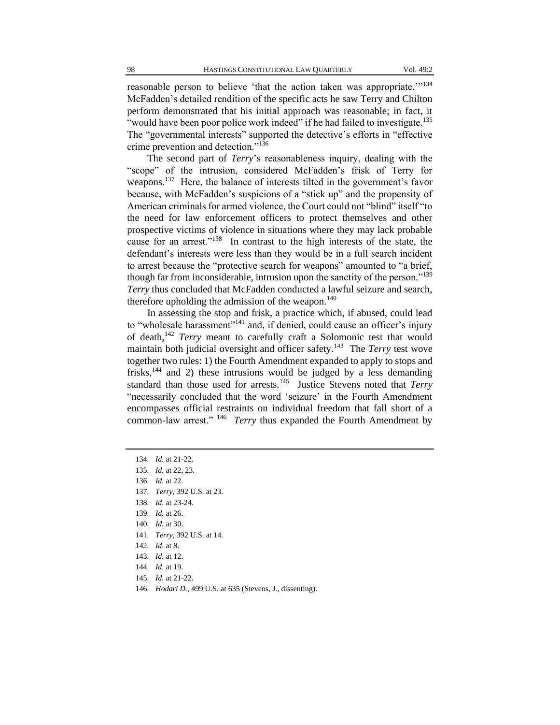reasonable person to believe 'that the action taken was appropriate.'"<sup>134</sup> McFadden's detailed rendition of the specific acts he saw Terry and Chilton perform demonstrated that his initial approach was reasonable; in fact, it "would have been poor police work indeed" if he had failed to investigate.<sup>135</sup> The "governmental interests" supported the detective's efforts in "effective crime prevention and detection."<sup>136</sup>

The second part of *Terry*'s reasonableness inquiry, dealing with the "scope" of the intrusion, considered McFadden's frisk of Terry for weapons.<sup>137</sup> Here, the balance of interests tilted in the government's favor because, with McFadden's suspicions of a "stick up" and the propensity of American criminals for armed violence, the Court could not "blind" itself "to the need for law enforcement officers to protect themselves and other prospective victims of violence in situations where they may lack probable cause for an arrest."<sup>138</sup> In contrast to the high interests of the state, the defendant's interests were less than they would be in a full search incident to arrest because the "protective search for weapons" amounted to "a brief, though far from inconsiderable, intrusion upon the sanctity of the person."<sup>139</sup> *Terry* thus concluded that McFadden conducted a lawful seizure and search, therefore upholding the admission of the weapon. $140$ 

In assessing the stop and frisk, a practice which, if abused, could lead to "wholesale harassment"<sup>141</sup> and, if denied, could cause an officer's injury of death,<sup>142</sup> *Terry* meant to carefully craft a Solomonic test that would maintain both judicial oversight and officer safety.<sup>143</sup> The *Terry* test wove together two rules: 1) the Fourth Amendment expanded to apply to stops and frisks, $144$  and 2) these intrusions would be judged by a less demanding standard than those used for arrests.<sup>145</sup> Justice Stevens noted that *Terry* "necessarily concluded that the word 'seizure' in the Fourth Amendment encompasses official restraints on individual freedom that fall short of a common-law arrest."<sup>146</sup> *Terry* thus expanded the Fourth Amendment by

- 138*. Id.* at 23-24.
- 139*. Id.* at 26.
- 140*. Id.* at 30.
- 141*. Terry*, 392 U.S. at 14.
- 142*. Id*. at 8.
- 143*. Id*. at 12.
- 144*. Id.* at 19.
- 145*. Id.* at 21-22.
- 146*. Hodari D.*, 499 U.S. at 635 (Stevens, J., dissenting).

<sup>134</sup>*. Id.* at 21-22.

<sup>135</sup>*. Id.* at 22, 23.

<sup>136</sup>*. Id*. at 22.

<sup>137</sup>*. Terry*, 392 U.S. at 23.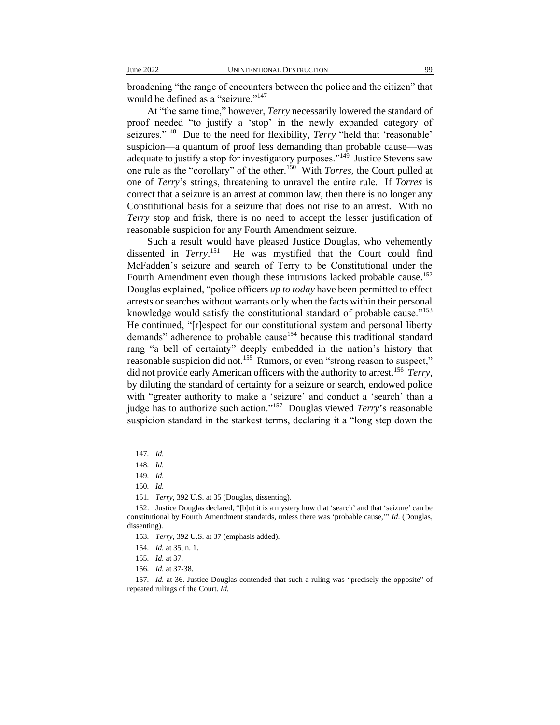broadening "the range of encounters between the police and the citizen" that would be defined as a "seizure."<sup>147</sup>

At "the same time," however, *Terry* necessarily lowered the standard of proof needed "to justify a 'stop' in the newly expanded category of seizures."<sup>148</sup> Due to the need for flexibility, *Terry* "held that 'reasonable' suspicion—a quantum of proof less demanding than probable cause—was adequate to justify a stop for investigatory purposes."<sup>149</sup> Justice Stevens saw one rule as the "corollary" of the other.<sup>150</sup> With *Torres*, the Court pulled at one of *Terry*'s strings, threatening to unravel the entire rule. If *Torres* is correct that a seizure is an arrest at common law, then there is no longer any Constitutional basis for a seizure that does not rise to an arrest. With no *Terry* stop and frisk, there is no need to accept the lesser justification of reasonable suspicion for any Fourth Amendment seizure.

Such a result would have pleased Justice Douglas, who vehemently dissented in *Terry*. 151 He was mystified that the Court could find McFadden's seizure and search of Terry to be Constitutional under the Fourth Amendment even though these intrusions lacked probable cause.<sup>152</sup> Douglas explained, "police officers *up to today* have been permitted to effect arrests or searches without warrants only when the facts within their personal knowledge would satisfy the constitutional standard of probable cause."<sup>153</sup> He continued, "[r]espect for our constitutional system and personal liberty demands" adherence to probable cause<sup>154</sup> because this traditional standard rang "a bell of certainty" deeply embedded in the nation's history that reasonable suspicion did not.<sup>155</sup> Rumors, or even "strong reason to suspect," did not provide early American officers with the authority to arrest.<sup>156</sup> *Terry*, by diluting the standard of certainty for a seizure or search, endowed police with "greater authority to make a 'seizure' and conduct a 'search' than a judge has to authorize such action."<sup>157</sup> Douglas viewed *Terry*'s reasonable suspicion standard in the starkest terms, declaring it a "long step down the

<sup>147</sup>*. Id.*

<sup>148</sup>*. Id.*

<sup>149</sup>*. Id.*

<sup>150</sup>*. Id.*

<sup>151</sup>*. Terry*, 392 U.S. at 35 (Douglas, dissenting).

<sup>152.</sup> Justice Douglas declared, "[b]ut it is a mystery how that 'search' and that 'seizure' can be constitutional by Fourth Amendment standards, unless there was 'probable cause,'" *Id*. (Douglas, dissenting).

<sup>153</sup>*. Terry*, 392 U.S. at 37 (emphasis added).

<sup>154</sup>*. Id.* at 35, n. 1.

<sup>155</sup>*. Id.* at 37.

<sup>156</sup>*. Id.* at 37-38.

<sup>157</sup>*. Id.* at 36. Justice Douglas contended that such a ruling was "precisely the opposite" of repeated rulings of the Court. *Id.*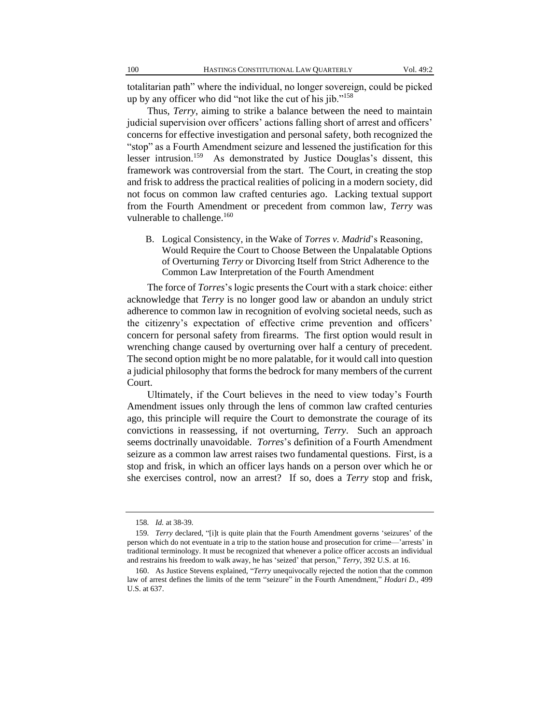totalitarian path" where the individual, no longer sovereign, could be picked up by any officer who did "not like the cut of his jib."<sup>158</sup>

Thus, *Terry*, aiming to strike a balance between the need to maintain judicial supervision over officers' actions falling short of arrest and officers' concerns for effective investigation and personal safety, both recognized the "stop" as a Fourth Amendment seizure and lessened the justification for this lesser intrusion.<sup>159</sup> As demonstrated by Justice Douglas's dissent, this framework was controversial from the start. The Court, in creating the stop and frisk to address the practical realities of policing in a modern society, did not focus on common law crafted centuries ago. Lacking textual support from the Fourth Amendment or precedent from common law, *Terry* was vulnerable to challenge.<sup>160</sup>

B. Logical Consistency, in the Wake of *Torres v. Madrid*'s Reasoning, Would Require the Court to Choose Between the Unpalatable Options of Overturning *Terry* or Divorcing Itself from Strict Adherence to the Common Law Interpretation of the Fourth Amendment

The force of *Torres*'s logic presents the Court with a stark choice: either acknowledge that *Terry* is no longer good law or abandon an unduly strict adherence to common law in recognition of evolving societal needs, such as the citizenry's expectation of effective crime prevention and officers' concern for personal safety from firearms. The first option would result in wrenching change caused by overturning over half a century of precedent. The second option might be no more palatable, for it would call into question a judicial philosophy that forms the bedrock for many members of the current Court.

Ultimately, if the Court believes in the need to view today's Fourth Amendment issues only through the lens of common law crafted centuries ago, this principle will require the Court to demonstrate the courage of its convictions in reassessing, if not overturning, *Terry*. Such an approach seems doctrinally unavoidable. *Torres*'s definition of a Fourth Amendment seizure as a common law arrest raises two fundamental questions. First, is a stop and frisk, in which an officer lays hands on a person over which he or she exercises control, now an arrest? If so, does a *Terry* stop and frisk,

<sup>158</sup>*. Id.* at 38-39.

<sup>159</sup>*. Terry* declared, "[i]t is quite plain that the Fourth Amendment governs 'seizures' of the person which do not eventuate in a trip to the station house and prosecution for crime—'arrests' in traditional terminology. It must be recognized that whenever a police officer accosts an individual and restrains his freedom to walk away, he has 'seized' that person," *Terry*, 392 U.S. at 16.

<sup>160.</sup> As Justice Stevens explained, "*Terry* unequivocally rejected the notion that the common law of arrest defines the limits of the term "seizure" in the Fourth Amendment," *Hodari D.*, 499 U.S. at 637.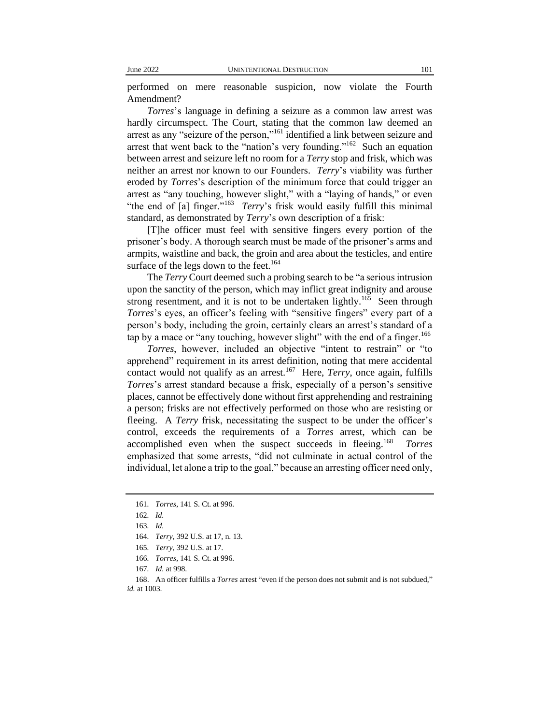performed on mere reasonable suspicion, now violate the Fourth Amendment?

*Torres*'s language in defining a seizure as a common law arrest was hardly circumspect. The Court, stating that the common law deemed an arrest as any "seizure of the person,"<sup>161</sup> identified a link between seizure and arrest that went back to the "nation's very founding."<sup>162</sup> Such an equation between arrest and seizure left no room for a *Terry* stop and frisk, which was neither an arrest nor known to our Founders. *Terry*'s viability was further eroded by *Torres*'s description of the minimum force that could trigger an arrest as "any touching, however slight," with a "laying of hands," or even "the end of [a] finger."<sup>163</sup> *Terry*'s frisk would easily fulfill this minimal standard, as demonstrated by *Terry*'s own description of a frisk:

[T]he officer must feel with sensitive fingers every portion of the prisoner's body. A thorough search must be made of the prisoner's arms and armpits, waistline and back, the groin and area about the testicles, and entire surface of the legs down to the feet.<sup>164</sup>

The *Terry* Court deemed such a probing search to be "a serious intrusion upon the sanctity of the person, which may inflict great indignity and arouse strong resentment, and it is not to be undertaken lightly.<sup>165</sup> Seen through *Torres*'s eyes, an officer's feeling with "sensitive fingers" every part of a person's body, including the groin, certainly clears an arrest's standard of a tap by a mace or "any touching, however slight" with the end of a finger.<sup>166</sup>

*Torres*, however, included an objective "intent to restrain" or "to apprehend" requirement in its arrest definition, noting that mere accidental contact would not qualify as an arrest.<sup>167</sup> Here, *Terry*, once again, fulfills *Torres*'s arrest standard because a frisk, especially of a person's sensitive places, cannot be effectively done without first apprehending and restraining a person; frisks are not effectively performed on those who are resisting or fleeing. A *Terry* frisk, necessitating the suspect to be under the officer's control, exceeds the requirements of a *Torres* arrest, which can be accomplished even when the suspect succeeds in fleeing.<sup>168</sup> *Torres* emphasized that some arrests, "did not culminate in actual control of the individual, let alone a trip to the goal," because an arresting officer need only,

<sup>161</sup>*. Torres*, 141 S. Ct. at 996.

<sup>162</sup>*. Id.*

<sup>163</sup>*. Id.*

<sup>164</sup>*. Terry*, 392 U.S. at 17, n. 13.

<sup>165</sup>*. Terry*, 392 U.S. at 17.

<sup>166</sup>*. Torres*, 141 S. Ct. at 996.

<sup>167</sup>*. Id.* at 998.

<sup>168.</sup> An officer fulfills a *Torres* arrest "even if the person does not submit and is not subdued," *id.* at 1003.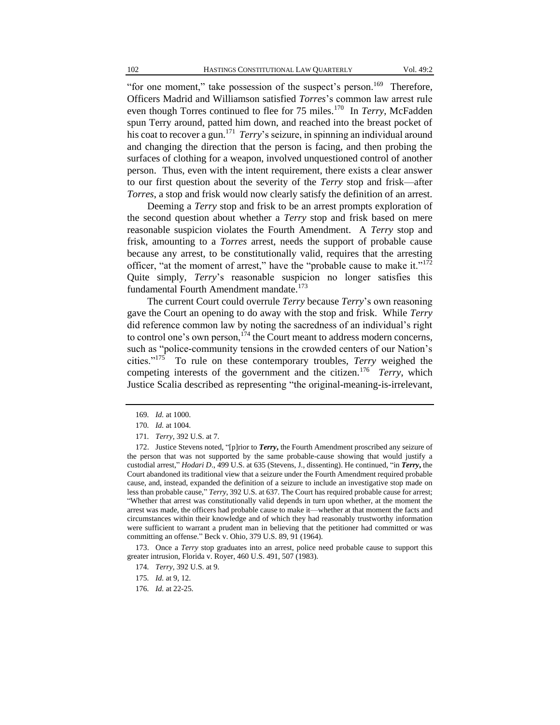"for one moment," take possession of the suspect's person.<sup>169</sup> Therefore, Officers Madrid and Williamson satisfied *Torres*'s common law arrest rule even though Torres continued to flee for 75 miles.<sup>170</sup> In *Terry*, McFadden spun Terry around, patted him down, and reached into the breast pocket of his coat to recover a gun.<sup>171</sup> *Terry*'s seizure, in spinning an individual around and changing the direction that the person is facing, and then probing the surfaces of clothing for a weapon, involved unquestioned control of another person. Thus, even with the intent requirement, there exists a clear answer to our first question about the severity of the *Terry* stop and frisk—after *Torres*, a stop and frisk would now clearly satisfy the definition of an arrest.

Deeming a *Terry* stop and frisk to be an arrest prompts exploration of the second question about whether a *Terry* stop and frisk based on mere reasonable suspicion violates the Fourth Amendment. A *Terry* stop and frisk, amounting to a *Torres* arrest, needs the support of probable cause because any arrest, to be constitutionally valid, requires that the arresting officer, "at the moment of arrest," have the "probable cause to make it."<sup>172</sup> Quite simply, *Terry*'s reasonable suspicion no longer satisfies this fundamental Fourth Amendment mandate.<sup>173</sup>

The current Court could overrule *Terry* because *Terry*'s own reasoning gave the Court an opening to do away with the stop and frisk. While *Terry* did reference common law by noting the sacredness of an individual's right to control one's own person,  $174$  the Court meant to address modern concerns, such as "police-community tensions in the crowded centers of our Nation's cities."<sup>175</sup> To rule on these contemporary troubles, *Terry* weighed the competing interests of the government and the citizen.<sup>176</sup> *Terry*, which Justice Scalia described as representing "the original-meaning-is-irrelevant,

173. Once a *Terry* stop graduates into an arrest, police need probable cause to support this greater intrusion, Florida v. Royer, 460 U.S. 491, 507 (1983).

<sup>169</sup>*. Id.* at 1000.

<sup>170</sup>*. Id.* at 1004.

<sup>171</sup>*. Terry*, 392 U.S. at 7.

<sup>172.</sup> Justice Stevens noted, "[p]rior to *Terry***,** the Fourth Amendment proscribed any seizure of the person that was not supported by the same probable-cause showing that would justify a custodial arrest," *Hodari D*., 499 U.S. at 635 (Stevens, J., dissenting). He continued, "in *Terry***,** the Court abandoned its traditional view that a seizure under the Fourth Amendment required probable cause, and, instead, expanded the definition of a seizure to include an investigative stop made on less than probable cause," *Terry*, 392 U.S. at 637. The Court has required probable cause for arrest; "Whether that arrest was constitutionally valid depends in turn upon whether, at the moment the arrest was made, the officers had probable cause to make it—whether at that moment the facts and circumstances within their knowledge and of which they had reasonably trustworthy information were sufficient to warrant a prudent man in believing that the petitioner had committed or was committing an offense." Beck v. Ohio, 379 U.S. 89, 91 (1964).

<sup>174</sup>*. Terry*, 392 U.S. at 9.

<sup>175</sup>*. Id.* at 9, 12.

<sup>176</sup>*. Id.* at 22-25.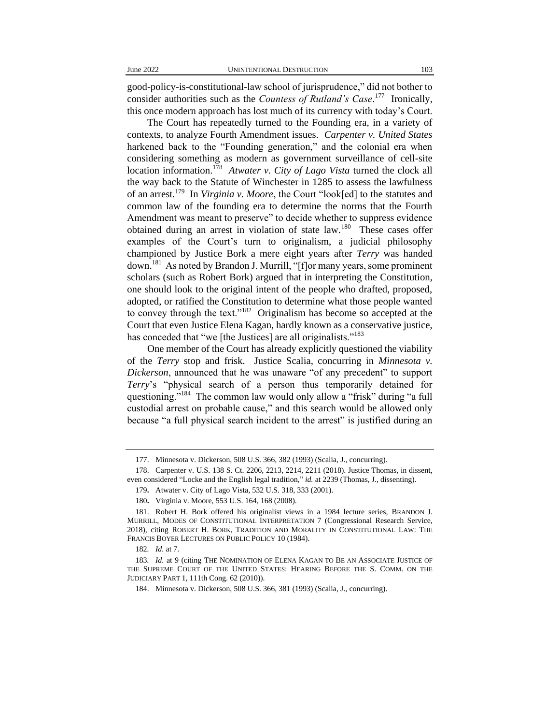good-policy-is-constitutional-law school of jurisprudence," did not bother to consider authorities such as the *Countess of Rutland's Case*. 177 Ironically, this once modern approach has lost much of its currency with today's Court.

The Court has repeatedly turned to the Founding era, in a variety of contexts, to analyze Fourth Amendment issues. *Carpenter v. United States* harkened back to the "Founding generation," and the colonial era when considering something as modern as government surveillance of cell-site location information.<sup>178</sup> Atwater v. City of Lago Vista turned the clock all the way back to the Statute of Winchester in 1285 to assess the lawfulness of an arrest.<sup>179</sup> In *Virginia v. Moore*, the Court "look[ed] to the statutes and common law of the founding era to determine the norms that the Fourth Amendment was meant to preserve" to decide whether to suppress evidence obtained during an arrest in violation of state law.<sup>180</sup> These cases offer examples of the Court's turn to originalism, a judicial philosophy championed by Justice Bork a mere eight years after *Terry* was handed down.<sup>181</sup> As noted by Brandon J. Murrill, "[f]or many years, some prominent scholars (such as Robert Bork) argued that in interpreting the Constitution, one should look to the original intent of the people who drafted, proposed, adopted, or ratified the Constitution to determine what those people wanted to convey through the text."<sup>182</sup> Originalism has become so accepted at the Court that even Justice Elena Kagan, hardly known as a conservative justice, has conceded that "we [the Justices] are all originalists."<sup>183</sup>

One member of the Court has already explicitly questioned the viability of the *Terry* stop and frisk. Justice Scalia, concurring in *Minnesota v. Dickerson*, announced that he was unaware "of any precedent" to support *Terry*'s "physical search of a person thus temporarily detained for questioning."<sup>184</sup> The common law would only allow a "frisk" during "a full custodial arrest on probable cause," and this search would be allowed only because "a full physical search incident to the arrest" is justified during an

<sup>177.</sup> Minnesota v. Dickerson, 508 U.S. 366, 382 (1993) (Scalia, J., concurring).

<sup>178.</sup> Carpenter v. U.S. 138 S. Ct. 2206, 2213, 2214, 2211 (2018). Justice Thomas, in dissent, even considered "Locke and the English legal tradition," *id.* at 2239 (Thomas, J., dissenting).

<sup>179</sup>**.** Atwater v. City of Lago Vista, 532 U.S. 318, 333 (2001).

<sup>180</sup>**.** Virginia v. Moore, 553 U.S. 164, 168 (2008).

<sup>181.</sup> Robert H. Bork offered his originalist views in a 1984 lecture series, BRANDON J. MURRILL, MODES OF CONSTITUTIONAL INTERPRETATION 7 (Congressional Research Service, 2018), citing ROBERT H. BORK, TRADITION AND MORALITY IN CONSTITUTIONAL LAW: THE FRANCIS BOYER LECTURES ON PUBLIC POLICY 10 (1984).

<sup>182</sup>*. Id.* at 7.

<sup>183</sup>*. Id.* at 9 (citing THE NOMINATION OF ELENA KAGAN TO BE AN ASSOCIATE JUSTICE OF THE SUPREME COURT OF THE UNITED STATES: HEARING BEFORE THE S. COMM. ON THE JUDICIARY PART 1, 111th Cong. 62 (2010)).

<sup>184.</sup> Minnesota v. Dickerson, 508 U.S. 366, 381 (1993) (Scalia, J., concurring).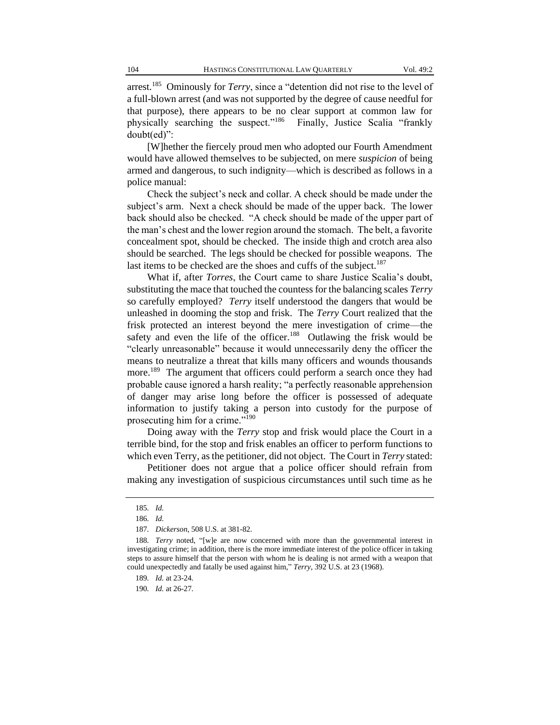arrest.<sup>185</sup> Ominously for *Terry*, since a "detention did not rise to the level of a full-blown arrest (and was not supported by the degree of cause needful for that purpose), there appears to be no clear support at common law for physically searching the suspect."<sup>186</sup> Finally, Justice Scalia "frankly doubt(ed)":

[W]hether the fiercely proud men who adopted our Fourth Amendment would have allowed themselves to be subjected, on mere *suspicion* of being armed and dangerous, to such indignity—which is described as follows in a police manual:

Check the subject's neck and collar. A check should be made under the subject's arm. Next a check should be made of the upper back. The lower back should also be checked. "A check should be made of the upper part of the man's chest and the lower region around the stomach. The belt, a favorite concealment spot, should be checked. The inside thigh and crotch area also should be searched. The legs should be checked for possible weapons. The last items to be checked are the shoes and cuffs of the subject.<sup>187</sup>

What if, after *Torres*, the Court came to share Justice Scalia's doubt, substituting the mace that touched the countess for the balancing scales *Terry* so carefully employed? *Terry* itself understood the dangers that would be unleashed in dooming the stop and frisk. The *Terry* Court realized that the frisk protected an interest beyond the mere investigation of crime—the safety and even the life of the officer.<sup>188</sup> Outlawing the frisk would be "clearly unreasonable" because it would unnecessarily deny the officer the means to neutralize a threat that kills many officers and wounds thousands more.<sup>189</sup> The argument that officers could perform a search once they had probable cause ignored a harsh reality; "a perfectly reasonable apprehension of danger may arise long before the officer is possessed of adequate information to justify taking a person into custody for the purpose of prosecuting him for a crime."<sup>190</sup>

Doing away with the *Terry* stop and frisk would place the Court in a terrible bind, for the stop and frisk enables an officer to perform functions to which even Terry, as the petitioner, did not object. The Court in *Terry* stated:

Petitioner does not argue that a police officer should refrain from making any investigation of suspicious circumstances until such time as he

<sup>185</sup>*. Id.*

<sup>186</sup>*. Id.*

<sup>187</sup>*. Dickerson*, 508 U.S. at 381-82.

<sup>188</sup>*. Terry* noted, "[w]e are now concerned with more than the governmental interest in investigating crime; in addition, there is the more immediate interest of the police officer in taking steps to assure himself that the person with whom he is dealing is not armed with a weapon that could unexpectedly and fatally be used against him," *Terry*, 392 U.S. at 23 (1968).

<sup>189</sup>*. Id.* at 23-24.

<sup>190</sup>*. Id.* at 26-27.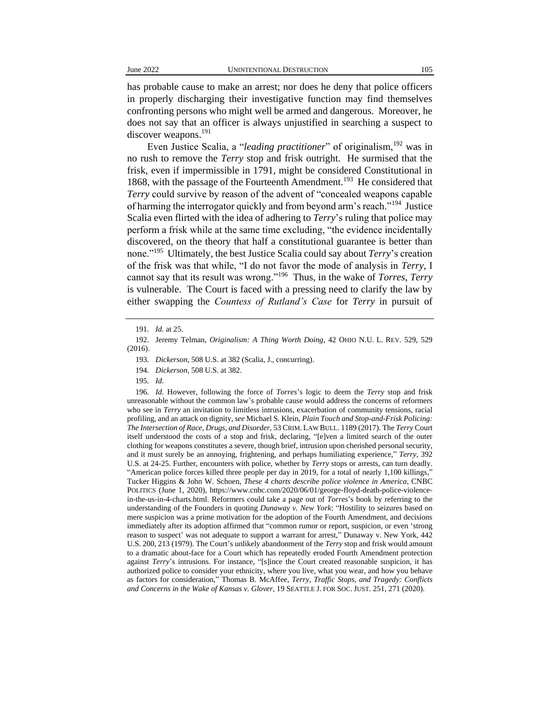has probable cause to make an arrest; nor does he deny that police officers in properly discharging their investigative function may find themselves confronting persons who might well be armed and dangerous. Moreover, he does not say that an officer is always unjustified in searching a suspect to discover weapons.<sup>191</sup>

Even Justice Scalia, a "*leading practitioner*" of originalism,<sup>192</sup> was in no rush to remove the *Terry* stop and frisk outright. He surmised that the frisk, even if impermissible in 1791, might be considered Constitutional in 1868, with the passage of the Fourteenth Amendment.<sup>193</sup> He considered that *Terry* could survive by reason of the advent of "concealed weapons capable of harming the interrogator quickly and from beyond arm's reach."<sup>194</sup> Justice Scalia even flirted with the idea of adhering to *Terry*'s ruling that police may perform a frisk while at the same time excluding, "the evidence incidentally discovered, on the theory that half a constitutional guarantee is better than none."<sup>195</sup> Ultimately, the best Justice Scalia could say about *Terry*'s creation of the frisk was that while, "I do not favor the mode of analysis in *Terry,* I cannot say that its result was wrong."<sup>196</sup> Thus, in the wake of *Torres*, *Terry* is vulnerable. The Court is faced with a pressing need to clarify the law by either swapping the *Countess of Rutland's Case* for *Terry* in pursuit of

195*. Id.*

196*. Id*. However, following the force of *Torres*'s logic to deem the *Terry* stop and frisk unreasonable without the common law's probable cause would address the concerns of reformers who see in *Terry* an invitation to limitless intrusions, exacerbation of community tensions, racial profiling, and an attack on dignity, *see* Michael S. Klein, *Plain Touch and Stop-and-Frisk Policing: The Intersection of Race, Drugs, and Disorder,* 53 CRIM. LAW BULL. 1189 (2017). The *Terry* Court itself understood the costs of a stop and frisk, declaring, "[e]ven a limited search of the outer clothing for weapons constitutes a severe, though brief, intrusion upon cherished personal security, and it must surely be an annoying, frightening, and perhaps humiliating experience," *Terry*, 392 U.S. at 24-25. Further, encounters with police, whether by *Terry* stops or arrests, can turn deadly. "American police forces killed three people per day in 2019, for a total of nearly 1,100 killings," Tucker Higgins & John W. Schoen, *These 4 charts describe police violence in America*, CNBC POLITICS (June 1, 2020), https://www.cnbc.com/2020/06/01/george-floyd-death-police-violencein-the-us-in-4-charts.html. Reformers could take a page out of *Torres*'s book by referring to the understanding of the Founders in quoting *Dunaway v. New York*: "Hostility to seizures based on mere suspicion was a prime motivation for the adoption of the Fourth Amendment, and decisions immediately after its adoption affirmed that "common rumor or report, suspicion, or even 'strong reason to suspect' was not adequate to support a warrant for arrest," Dunaway v. New York, 442 U.S. 200, 213 (1979). The Court's unlikely abandonment of the *Terry* stop and frisk would amount to a dramatic about-face for a Court which has repeatedly eroded Fourth Amendment protection against *Terry*'s intrusions. For instance, "[s]ince the Court created reasonable suspicion, it has authorized police to consider your ethnicity, where you live, what you wear, and how you behave as factors for consideration," Thomas B. McAffee, *Terry, Traffic Stops, and Tragedy: Conflicts and Concerns in the Wake of Kansas v. Glover*, 19 SEATTLE J. FOR SOC. JUST. 251, 271 (2020).

<sup>191</sup>*. Id.* at 25.

<sup>192.</sup> Jeremy Telman, *Originalism: A Thing Worth Doing*, 42 OHIO N.U. L. REV. 529, 529 (2016).

<sup>193</sup>*. Dickerson*, 508 U.S. at 382 (Scalia, J., concurring).

<sup>194</sup>*. Dickerson*, 508 U.S. at 382.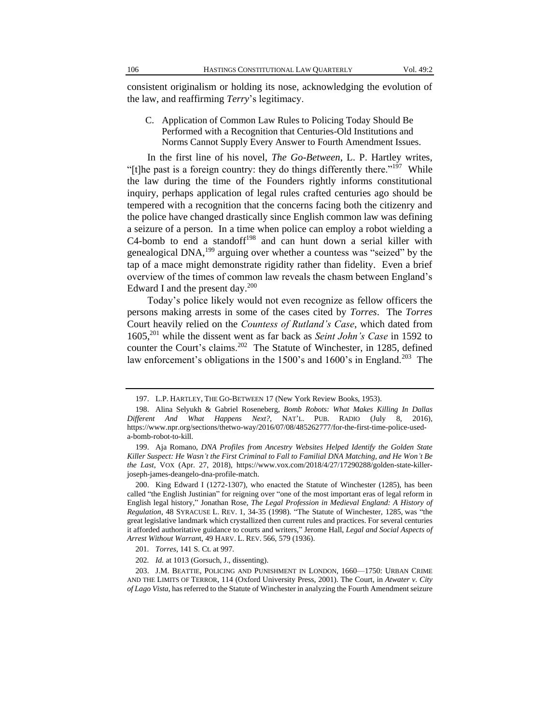consistent originalism or holding its nose, acknowledging the evolution of the law, and reaffirming *Terry*'s legitimacy.

C. Application of Common Law Rules to Policing Today Should Be Performed with a Recognition that Centuries-Old Institutions and Norms Cannot Supply Every Answer to Fourth Amendment Issues.

In the first line of his novel, *The Go-Between*, L. P. Hartley writes, "[t]he past is a foreign country: they do things differently there."<sup>197</sup> While the law during the time of the Founders rightly informs constitutional inquiry, perhaps application of legal rules crafted centuries ago should be tempered with a recognition that the concerns facing both the citizenry and the police have changed drastically since English common law was defining a seizure of a person. In a time when police can employ a robot wielding a C4-bomb to end a standoff $198$  and can hunt down a serial killer with genealogical DNA,<sup>199</sup> arguing over whether a countess was "seized" by the tap of a mace might demonstrate rigidity rather than fidelity. Even a brief overview of the times of common law reveals the chasm between England's Edward I and the present day. $200$ 

Today's police likely would not even recognize as fellow officers the persons making arrests in some of the cases cited by *Torres*. The *Torres* Court heavily relied on the *Countess of Rutland's Case*, which dated from 1605,<sup>201</sup> while the dissent went as far back as *Seint John's Case* in 1592 to counter the Court's claims.<sup>202</sup> The Statute of Winchester, in 1285, defined law enforcement's obligations in the  $1500$ 's and  $1600$ 's in England.<sup>203</sup> The

<sup>197.</sup> L.P. HARTLEY, THE GO-BETWEEN 17 (New York Review Books, 1953).

<sup>198.</sup> Alina Selyukh & Gabriel Roseneberg, *Bomb Robots: What Makes Killing In Dallas Different And What Happens Next?*, NAT'L. PUB. RADIO (July 8, 2016), https://www.npr.org/sections/thetwo-way/2016/07/08/485262777/for-the-first-time-police-useda-bomb-robot-to-kill.

<sup>199.</sup> Aja Romano, *DNA Profiles from Ancestry Websites Helped Identify the Golden State Killer Suspect: He Wasn't the First Criminal to Fall to Familial DNA Matching, and He Won't Be the Last*, VOX (Apr. 27, 2018), https://www.vox.com/2018/4/27/17290288/golden-state-killerjoseph-james-deangelo-dna-profile-match.

<sup>200.</sup> King Edward I (1272-1307), who enacted the Statute of Winchester (1285), has been called "the English Justinian" for reigning over "one of the most important eras of legal reform in English legal history," Jonathan Rose, *The Legal Profession in Medieval England: A History of Regulation*, 48 SYRACUSE L. REV. 1, 34-35 (1998). "The Statute of Winchester, 1285, was "the great legislative landmark which crystallized then current rules and practices. For several centuries it afforded authoritative guidance to courts and writers," Jerome Hall, *Legal and Social Aspects of Arrest Without Warran*t, 49 HARV. L. REV. 566, 579 (1936).

<sup>201</sup>*. Torres*, 141 S. Ct. at 997.

<sup>202</sup>*. Id.* at 1013 (Gorsuch, J., dissenting).

<sup>203.</sup> J.M. BEATTIE, POLICING AND PUNISHMENT IN LONDON, 1660—1750: URBAN CRIME AND THE LIMITS OF TERROR, 114 (Oxford University Press, 2001). The Court, in *Atwater v. City of Lago Vista*, has referred to the Statute of Winchester in analyzing the Fourth Amendment seizure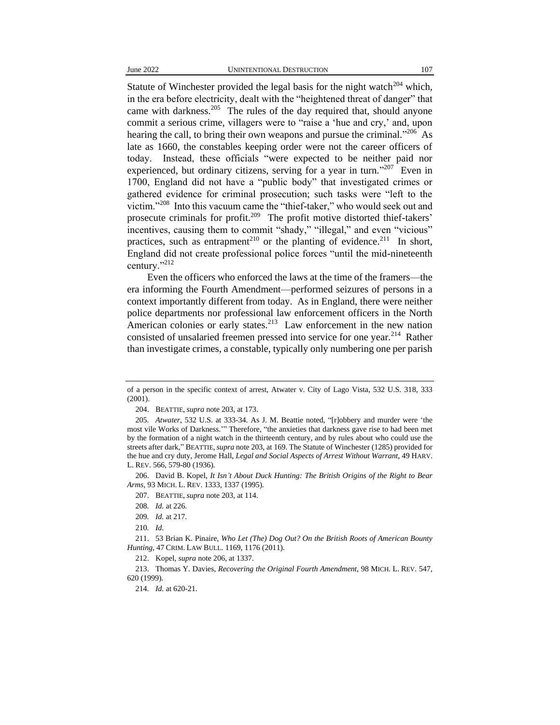Statute of Winchester provided the legal basis for the night watch<sup>204</sup> which, in the era before electricity, dealt with the "heightened threat of danger" that came with darkness.<sup>205</sup> The rules of the day required that, should anyone commit a serious crime, villagers were to "raise a 'hue and cry,' and, upon hearing the call, to bring their own weapons and pursue the criminal."<sup>206</sup> As late as 1660, the constables keeping order were not the career officers of today. Instead, these officials "were expected to be neither paid nor experienced, but ordinary citizens, serving for a year in turn."<sup>207</sup> Even in 1700, England did not have a "public body" that investigated crimes or gathered evidence for criminal prosecution; such tasks were "left to the victim."<sup>208</sup> Into this vacuum came the "thief-taker," who would seek out and prosecute criminals for profit.<sup>209</sup> The profit motive distorted thief-takers' incentives, causing them to commit "shady," "illegal," and even "vicious" practices, such as entrapment<sup>210</sup> or the planting of evidence.<sup>211</sup> In short, England did not create professional police forces "until the mid-nineteenth century."<sup>212</sup>

Even the officers who enforced the laws at the time of the framers—the era informing the Fourth Amendment—performed seizures of persons in a context importantly different from today. As in England, there were neither police departments nor professional law enforcement officers in the North American colonies or early states.<sup>213</sup> Law enforcement in the new nation consisted of unsalaried freemen pressed into service for one year.<sup>214</sup> Rather than investigate crimes, a constable, typically only numbering one per parish

206. David B. Kopel, *It Isn't About Duck Hunting: The British Origins of the Right to Bear Arms*, 93 MICH. L. REV. 1333, 1337 (1995).

207. BEATTIE, *supra* note 203, at 114.

211. 53 Brian K. Pinaire, *Who Let (The) Dog Out? On the British Roots of American Bounty Hunting*, 47 CRIM. LAW BULL. 1169, 1176 (2011).

212. Kopel, *supra* note 206, at 1337.

213. Thomas Y. Davies, *Recovering the Original Fourth Amendment*, 98 MICH. L. REV. 547, 620 (1999).

of a person in the specific context of arrest, Atwater v. City of Lago Vista, 532 U.S. 318, 333 (2001).

<sup>204.</sup> BEATTIE, *supra* note 203, at 173.

<sup>205</sup>*. Atwater*, 532 U.S. at 333-34. As J. M. Beattie noted, "[r]obbery and murder were 'the most vile Works of Darkness.'" Therefore, "the anxieties that darkness gave rise to had been met by the formation of a night watch in the thirteenth century, and by rules about who could use the streets after dark," BEATTIE,*supra* note 203, at 169. The Statute of Winchester (1285) provided for the hue and cry duty, Jerome Hall*, Legal and Social Aspects of Arrest Without Warrant*, 49 HARV. L. REV. 566, 579-80 (1936).

<sup>208</sup>*. Id.* at 226.

<sup>209</sup>*. Id.* at 217.

<sup>210</sup>*. Id.*

<sup>214</sup>*. Id.* at 620-21.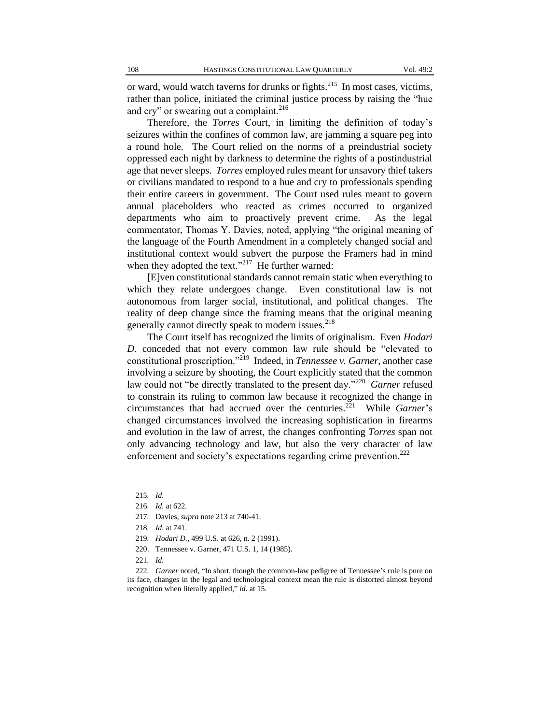or ward, would watch taverns for drunks or fights.<sup>215</sup> In most cases, victims, rather than police, initiated the criminal justice process by raising the "hue and cry" or swearing out a complaint.<sup>216</sup>

Therefore, the *Torres* Court, in limiting the definition of today's seizures within the confines of common law, are jamming a square peg into a round hole. The Court relied on the norms of a preindustrial society oppressed each night by darkness to determine the rights of a postindustrial age that never sleeps. *Torres* employed rules meant for unsavory thief takers or civilians mandated to respond to a hue and cry to professionals spending their entire careers in government. The Court used rules meant to govern annual placeholders who reacted as crimes occurred to organized departments who aim to proactively prevent crime. As the legal commentator, Thomas Y. Davies, noted, applying "the original meaning of the language of the Fourth Amendment in a completely changed social and institutional context would subvert the purpose the Framers had in mind when they adopted the text."<sup>217</sup> He further warned:

[E]ven constitutional standards cannot remain static when everything to which they relate undergoes change. Even constitutional law is not autonomous from larger social, institutional, and political changes. The reality of deep change since the framing means that the original meaning generally cannot directly speak to modern issues.<sup>218</sup>

The Court itself has recognized the limits of originalism. Even *Hodari D.* conceded that not every common law rule should be "elevated to constitutional proscription."<sup>219</sup> Indeed, in *Tennessee v. Garner*, another case involving a seizure by shooting, the Court explicitly stated that the common law could not "be directly translated to the present day."<sup>220</sup> Garner refused to constrain its ruling to common law because it recognized the change in circumstances that had accrued over the centuries.<sup>221</sup> While *Garner*'s changed circumstances involved the increasing sophistication in firearms and evolution in the law of arrest, the changes confronting *Torres* span not only advancing technology and law, but also the very character of law enforcement and society's expectations regarding crime prevention.<sup>222</sup>

220. Tennessee v. Garner, 471 U.S. 1, 14 (1985).

<sup>215</sup>*. Id.*

<sup>216</sup>*. Id.* at 622.

<sup>217</sup>*.* Davies, *supra* note 213 at 740-41.

<sup>218</sup>*. Id.* at 741.

<sup>219</sup>*. Hodari D.*, 499 U.S. at 626, n. 2 (1991).

<sup>221</sup>*. Id.*

<sup>222</sup>*. Garner* noted, "In short, though the common-law pedigree of Tennessee's rule is pure on its face, changes in the legal and technological context mean the rule is distorted almost beyond recognition when literally applied," *id.* at 15.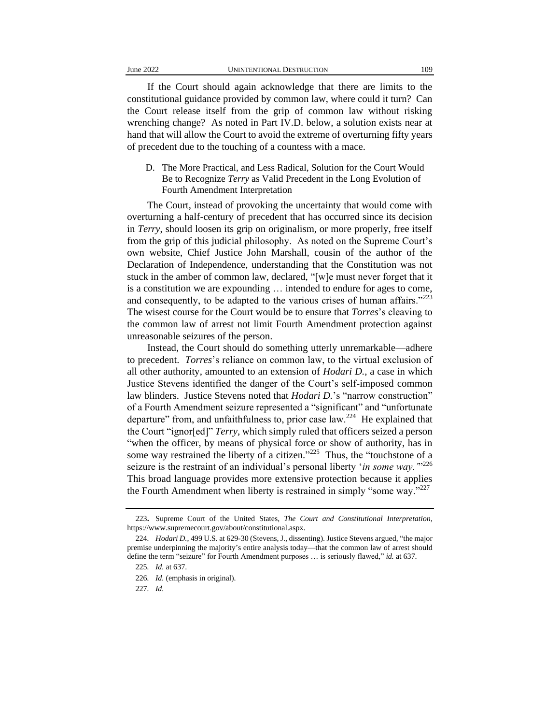If the Court should again acknowledge that there are limits to the constitutional guidance provided by common law, where could it turn? Can the Court release itself from the grip of common law without risking wrenching change? As noted in Part IV.D. below, a solution exists near at hand that will allow the Court to avoid the extreme of overturning fifty years of precedent due to the touching of a countess with a mace.

D. The More Practical, and Less Radical, Solution for the Court Would Be to Recognize *Terry* as Valid Precedent in the Long Evolution of Fourth Amendment Interpretation

The Court, instead of provoking the uncertainty that would come with overturning a half-century of precedent that has occurred since its decision in *Terry*, should loosen its grip on originalism, or more properly, free itself from the grip of this judicial philosophy. As noted on the Supreme Court's own website, Chief Justice John Marshall, cousin of the author of the Declaration of Independence, understanding that the Constitution was not stuck in the amber of common law, declared, "[w]e must never forget that it is a constitution we are expounding … intended to endure for ages to come, and consequently, to be adapted to the various crises of human affairs." $223$ The wisest course for the Court would be to ensure that *Torres*'s cleaving to the common law of arrest not limit Fourth Amendment protection against unreasonable seizures of the person.

Instead, the Court should do something utterly unremarkable—adhere to precedent. *Torres*'s reliance on common law, to the virtual exclusion of all other authority, amounted to an extension of *Hodari D.*, a case in which Justice Stevens identified the danger of the Court's self-imposed common law blinders. Justice Stevens noted that *Hodari D.*'s "narrow construction" of a Fourth Amendment seizure represented a "significant" and "unfortunate departure" from, and unfaithfulness to, prior case law.<sup>224</sup> He explained that the Court "ignor[ed]" *Terry*, which simply ruled that officers seized a person "when the officer, by means of physical force or show of authority, has in some way restrained the liberty of a citizen." $225$  Thus, the "touchstone of a seizure is the restraint of an individual's personal liberty '*in some way*."<sup>226</sup> This broad language provides more extensive protection because it applies the Fourth Amendment when liberty is restrained in simply "some way."<sup>227</sup>

<sup>223</sup>**.** Supreme Court of the United States, *The Court and Constitutional Interpretation*, https://www.supremecourt.gov/about/constitutional.aspx.

<sup>224</sup>*. Hodari D.*, 499 U.S. at 629-30 (Stevens, J., dissenting). Justice Stevens argued, "the major premise underpinning the majority's entire analysis today—that the common law of arrest should define the term "seizure" for Fourth Amendment purposes … is seriously flawed," *id.* at 637.

<sup>225</sup>*. Id.* at 637.

<sup>226</sup>*. Id.* (emphasis in original).

<sup>227</sup>*. Id.*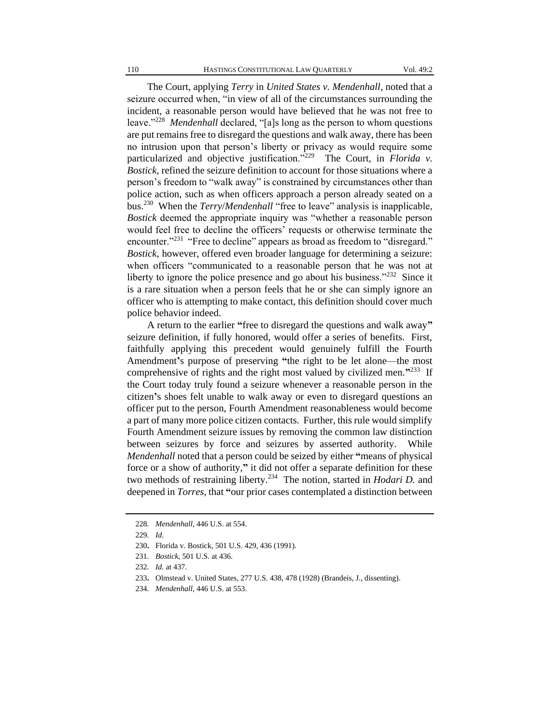The Court, applying *Terry* in *United States v. Mendenhall*, noted that a seizure occurred when, "in view of all of the circumstances surrounding the incident, a reasonable person would have believed that he was not free to leave."<sup>228</sup> Mendenhall declared, "[a]s long as the person to whom questions are put remains free to disregard the questions and walk away, there has been no intrusion upon that person's liberty or privacy as would require some particularized and objective justification."<sup>229</sup> The Court, in *Florida v*. *Bostick*, refined the seizure definition to account for those situations where a person's freedom to "walk away" is constrained by circumstances other than police action, such as when officers approach a person already seated on a bus.<sup>230</sup> When the *Terry*/*Mendenhall* "free to leave" analysis is inapplicable, *Bostick* deemed the appropriate inquiry was "whether a reasonable person would feel free to decline the officers' requests or otherwise terminate the encounter."<sup>231</sup> "Free to decline" appears as broad as freedom to "disregard." *Bostick*, however, offered even broader language for determining a seizure: when officers "communicated to a reasonable person that he was not at liberty to ignore the police presence and go about his business."<sup>232</sup> Since it is a rare situation when a person feels that he or she can simply ignore an officer who is attempting to make contact, this definition should cover much police behavior indeed.

A return to the earlier **"**free to disregard the questions and walk away**"** seizure definition, if fully honored, would offer a series of benefits. First, faithfully applying this precedent would genuinely fulfill the Fourth Amendment**'**s purpose of preserving **"**the right to be let alone—the most comprehensive of rights and the right most valued by civilized men.<sup>"233</sup> If the Court today truly found a seizure whenever a reasonable person in the citizen**'**s shoes felt unable to walk away or even to disregard questions an officer put to the person, Fourth Amendment reasonableness would become a part of many more police citizen contacts. Further, this rule would simplify Fourth Amendment seizure issues by removing the common law distinction between seizures by force and seizures by asserted authority. While *Mendenhall* noted that a person could be seized by either **"**means of physical force or a show of authority,**"** it did not offer a separate definition for these two methods of restraining liberty.<sup>234</sup> The notion, started in *Hodari D.* and deepened in *Torres*, that **"**our prior cases contemplated a distinction between

<sup>228</sup>*. Mendenhall*, 446 U.S. at 554.

<sup>229</sup>*. Id.*

<sup>230</sup>**.** Florida v. Bostick, 501 U.S. 429, 436 (1991).

<sup>231</sup>*. Bostick*, 501 U.S. at 436.

<sup>232</sup>*. Id.* at 437.

<sup>233</sup>**.** Olmstead v. United States, 277 U.S. 438, 478 (1928) (Brandeis, J., dissenting).

<sup>234</sup>*. Mendenhall*, 446 U.S. at 553.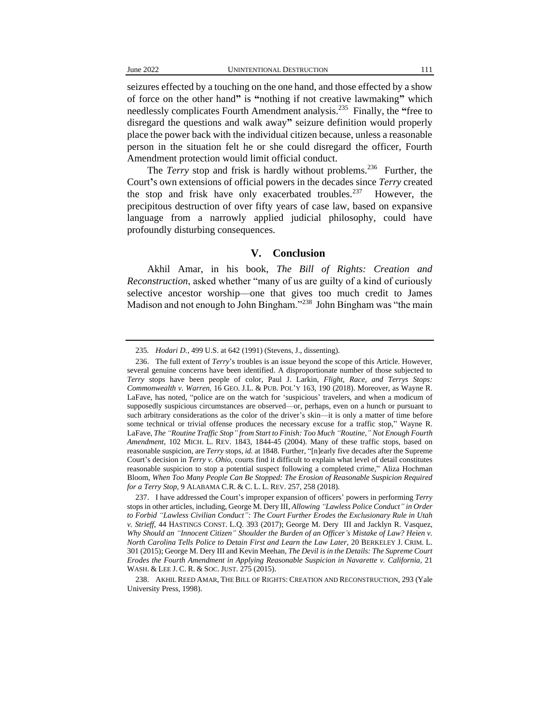seizures effected by a touching on the one hand, and those effected by a show of force on the other hand**"** is **"**nothing if not creative lawmaking**"** which needlessly complicates Fourth Amendment analysis.<sup>235</sup> Finally, the **"**free to disregard the questions and walk away**"** seizure definition would properly place the power back with the individual citizen because, unless a reasonable person in the situation felt he or she could disregard the officer, Fourth Amendment protection would limit official conduct.

The *Terry* stop and frisk is hardly without problems.<sup>236</sup> Further, the Court**'**s own extensions of official powers in the decades since *Terry* created the stop and frisk have only exacerbated troubles. $237$  However, the precipitous destruction of over fifty years of case law, based on expansive language from a narrowly applied judicial philosophy, could have profoundly disturbing consequences.

### **V. Conclusion**

Akhil Amar, in his book, *The Bill of Rights: Creation and Reconstruction*, asked whether "many of us are guilty of a kind of curiously selective ancestor worship—one that gives too much credit to James Madison and not enough to John Bingham."<sup>238</sup> John Bingham was "the main

<sup>235</sup>*. Hodari D.*, 499 U.S. at 642 (1991) (Stevens, J., dissenting).

<sup>236.</sup> The full extent of *Terry*'s troubles is an issue beyond the scope of this Article. However, several genuine concerns have been identified. A disproportionate number of those subjected to *Terry* stops have been people of color, Paul J. Larkin, *Flight, Race, and Terrys Stops: Commonwealth v. Warren*, 16 GEO. J.L. & PUB. POL'Y 163, 190 (2018). Moreover, as Wayne R. LaFave, has noted, "police are on the watch for 'suspicious' travelers, and when a modicum of supposedly suspicious circumstances are observed—or, perhaps, even on a hunch or pursuant to such arbitrary considerations as the color of the driver's skin—it is only a matter of time before some technical or trivial offense produces the necessary excuse for a traffic stop," Wayne R. LaFave, *The "Routine Traffic Stop" from Start to Finish: Too Much "Routine*,*" Not Enough Fourth Amendment*, 102 MICH. L. REV. 1843, 1844-45 (2004). Many of these traffic stops, based on reasonable suspicion, are *Terry* stops, *id.* at 1848. Further, "[n]early five decades after the Supreme Court's decision in *Terry v. Ohio*, courts find it difficult to explain what level of detail constitutes reasonable suspicion to stop a potential suspect following a completed crime," Aliza Hochman Bloom, *When Too Many People Can Be Stopped: The Erosion of Reasonable Suspicion Required for a Terry Stop*, 9 ALABAMA C.R. & C. L. L. REV. 257, 258 (2018).

<sup>237.</sup> I have addressed the Court's improper expansion of officers' powers in performing *Terry* stops in other articles, including, George M. Dery III, *Allowing "Lawless Police Conduct" in Order to Forbid "Lawless Civilian Conduct": The Court Further Erodes the Exclusionary Rule in Utah v. Strieff*, 44 HASTINGS CONST. L.Q. 393 (2017); George M. Dery III and Jacklyn R. Vasquez, *Why Should an "Innocent Citizen" Shoulder the Burden of an Officer's Mistake of Law? Heien v. North Carolina Tells Police to Detain First and Learn the Law Later*, 20 BERKELEY J. CRIM. L. 301 (2015); George M. Dery III and Kevin Meehan, *The Devil is in the Details: The Supreme Court Erodes the Fourth Amendment in Applying Reasonable Suspicion in Navarette v. California*, 21 WASH. & LEE J. C. R. & SOC. JUST. 275 (2015).

<sup>238.</sup> AKHIL REED AMAR, THE BILL OF RIGHTS: CREATION AND RECONSTRUCTION, 293 (Yale University Press, 1998).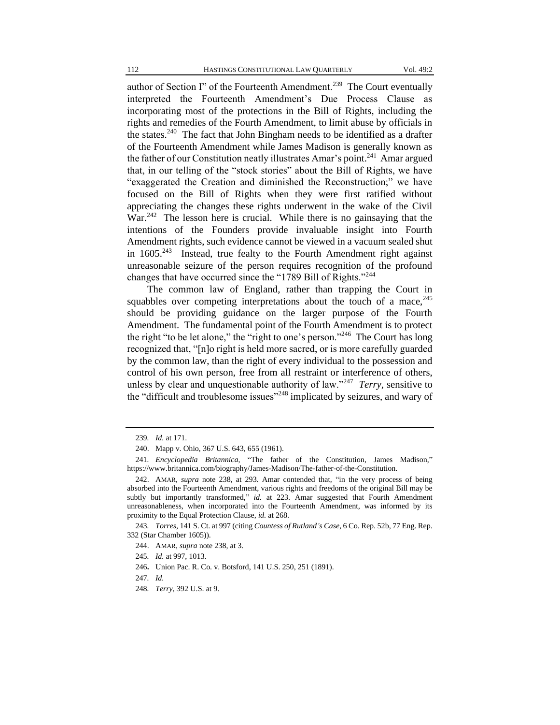author of Section I" of the Fourteenth Amendment.<sup>239</sup> The Court eventually interpreted the Fourteenth Amendment's Due Process Clause as incorporating most of the protections in the Bill of Rights, including the rights and remedies of the Fourth Amendment, to limit abuse by officials in the states.<sup>240</sup> The fact that John Bingham needs to be identified as a drafter of the Fourteenth Amendment while James Madison is generally known as the father of our Constitution neatly illustrates Amar's point.<sup>241</sup> Amar argued that, in our telling of the "stock stories" about the Bill of Rights, we have "exaggerated the Creation and diminished the Reconstruction;" we have focused on the Bill of Rights when they were first ratified without appreciating the changes these rights underwent in the wake of the Civil War.<sup>242</sup> The lesson here is crucial. While there is no gainsaying that the intentions of the Founders provide invaluable insight into Fourth Amendment rights, such evidence cannot be viewed in a vacuum sealed shut in  $1605.^{243}$  Instead, true fealty to the Fourth Amendment right against unreasonable seizure of the person requires recognition of the profound changes that have occurred since the "1789 Bill of Rights."<sup>244</sup>

The common law of England, rather than trapping the Court in squabbles over competing interpretations about the touch of a mace,  $245$ should be providing guidance on the larger purpose of the Fourth Amendment. The fundamental point of the Fourth Amendment is to protect the right "to be let alone," the "right to one's person."<sup>246</sup> The Court has long recognized that, "[n]o right is held more sacred, or is more carefully guarded by the common law, than the right of every individual to the possession and control of his own person, free from all restraint or interference of others, unless by clear and unquestionable authority of law."<sup>247</sup> *Terry*, sensitive to the "difficult and troublesome issues"<sup>248</sup> implicated by seizures, and wary of

<sup>239</sup>*. Id.* at 171.

<sup>240.</sup> Mapp v. Ohio, 367 U.S. 643, 655 (1961).

<sup>241</sup>*. Encyclopedia Britannica*, "The father of the Constitution, James Madison," https://www.britannica.com/biography/James-Madison/The-father-of-the-Constitution.

<sup>242.</sup> AMAR, *supra* note 238, at 293. Amar contended that, "in the very process of being absorbed into the Fourteenth Amendment, various rights and freedoms of the original Bill may be subtly but importantly transformed," *id.* at 223. Amar suggested that Fourth Amendment unreasonableness, when incorporated into the Fourteenth Amendment, was informed by its proximity to the Equal Protection Clause, *id.* at 268.

<sup>243</sup>*. Torres*, 141 S. Ct. at 997 (citing *Countess of Rutland's Case*, 6 Co. Rep. 52b, 77 Eng. Rep. 332 (Star Chamber 1605)).

<sup>244.</sup> AMAR, *supra* note 238, at 3.

<sup>245</sup>*. Id.* at 997, 1013.

<sup>246</sup>**.** Union Pac. R. Co. v. Botsford, 141 U.S. 250, 251 (1891).

<sup>247</sup>*. Id.*

<sup>248</sup>*. Terry*, 392 U.S. at 9.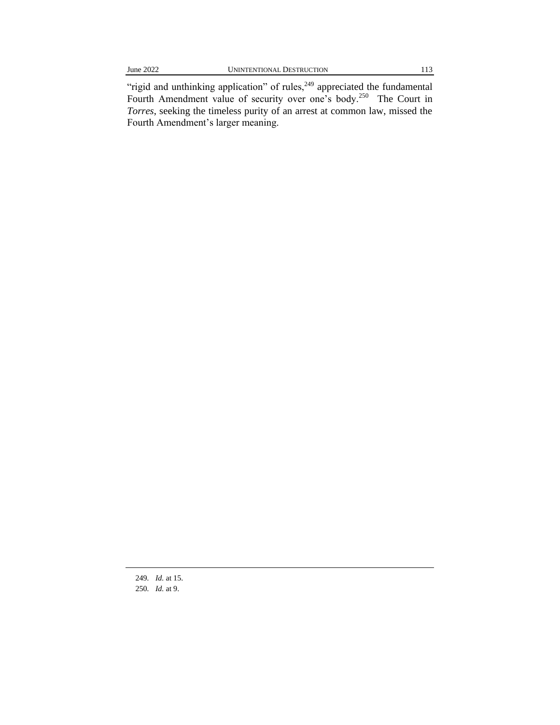"rigid and unthinking application" of rules, $^{249}$  appreciated the fundamental Fourth Amendment value of security over one's body.<sup>250</sup> The Court in *Torres*, seeking the timeless purity of an arrest at common law, missed the Fourth Amendment's larger meaning.

249*. Id.* at 15. 250*. Id.* at 9.